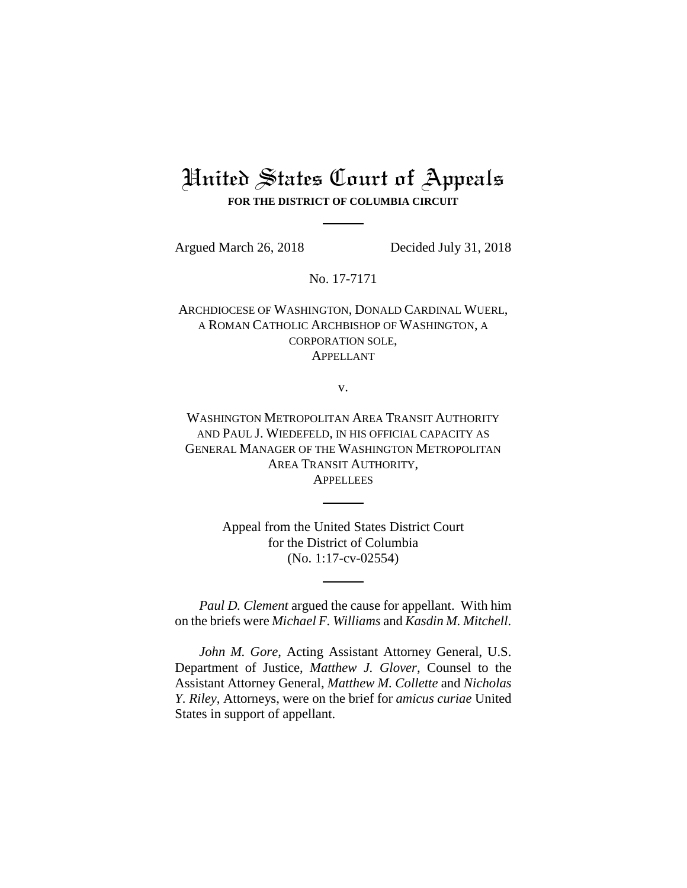## United States Court of Appeals **FOR THE DISTRICT OF COLUMBIA CIRCUIT**

Argued March 26, 2018 Decided July 31, 2018

No. 17-7171

ARCHDIOCESE OF WASHINGTON, DONALD CARDINAL WUERL, A ROMAN CATHOLIC ARCHBISHOP OF WASHINGTON, A CORPORATION SOLE, APPELLANT

v.

WASHINGTON METROPOLITAN AREA TRANSIT AUTHORITY AND PAUL J. WIEDEFELD, IN HIS OFFICIAL CAPACITY AS GENERAL MANAGER OF THE WASHINGTON METROPOLITAN AREA TRANSIT AUTHORITY, **APPELLEES** 

> Appeal from the United States District Court for the District of Columbia (No. 1:17-cv-02554)

*Paul D. Clement* argued the cause for appellant. With him on the briefs were *Michael F. Williams* and *Kasdin M. Mitchell*.

*John M. Gore*, Acting Assistant Attorney General, U.S. Department of Justice, *Matthew J. Glover*, Counsel to the Assistant Attorney General, *Matthew M. Collette* and *Nicholas Y. Riley*, Attorneys, were on the brief for *amicus curiae* United States in support of appellant.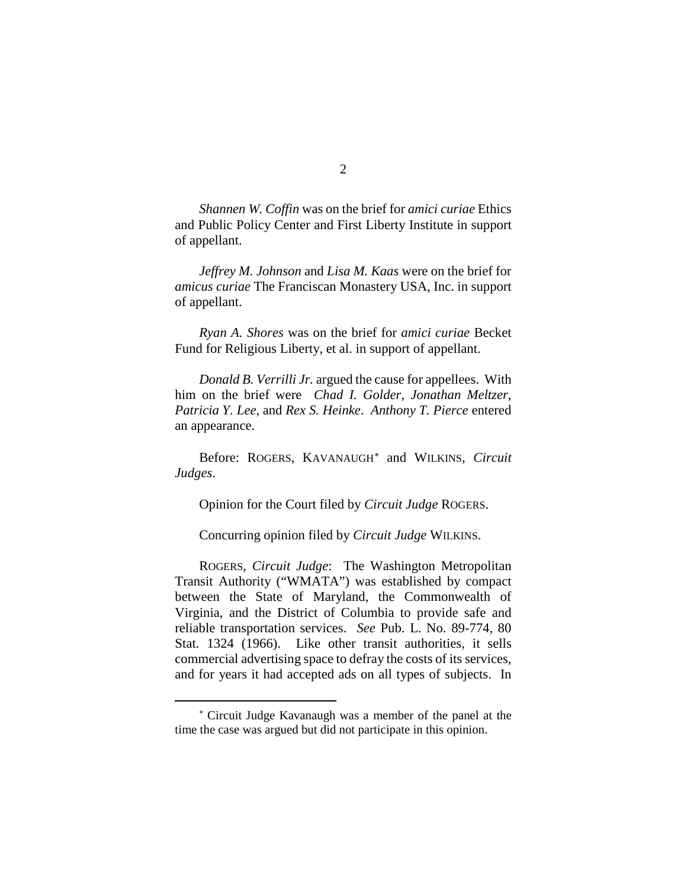*Shannen W. Coffin* was on the brief for *amici curiae* Ethics and Public Policy Center and First Liberty Institute in support of appellant.

*Jeffrey M. Johnson* and *Lisa M. Kaas* were on the brief for *amicus curiae* The Franciscan Monastery USA, Inc. in support of appellant.

*Ryan A. Shores* was on the brief for *amici curiae* Becket Fund for Religious Liberty, et al. in support of appellant.

*Donald B. Verrilli Jr.* argued the cause for appellees. With him on the brief were *Chad I. Golder*, *Jonathan Meltzer*, *Patricia Y. Lee*, and *Rex S. Heinke*. *Anthony T. Pierce* entered an appearance.

Before: ROGERS, KAVANAUGH[∗](#page-1-0) and WILKINS, *Circuit Judges*.

Opinion for the Court filed by *Circuit Judge* ROGERS.

Concurring opinion filed by *Circuit Judge* WILKINS.

ROGERS, *Circuit Judge*: The Washington Metropolitan Transit Authority ("WMATA") was established by compact between the State of Maryland, the Commonwealth of Virginia, and the District of Columbia to provide safe and reliable transportation services. *See* Pub. L. No. 89-774, 80 Stat. 1324 (1966). Like other transit authorities, it sells commercial advertising space to defray the costs of its services, and for years it had accepted ads on all types of subjects. In

 $\overline{a}$ 

<span id="page-1-0"></span><sup>∗</sup> Circuit Judge Kavanaugh was a member of the panel at the time the case was argued but did not participate in this opinion.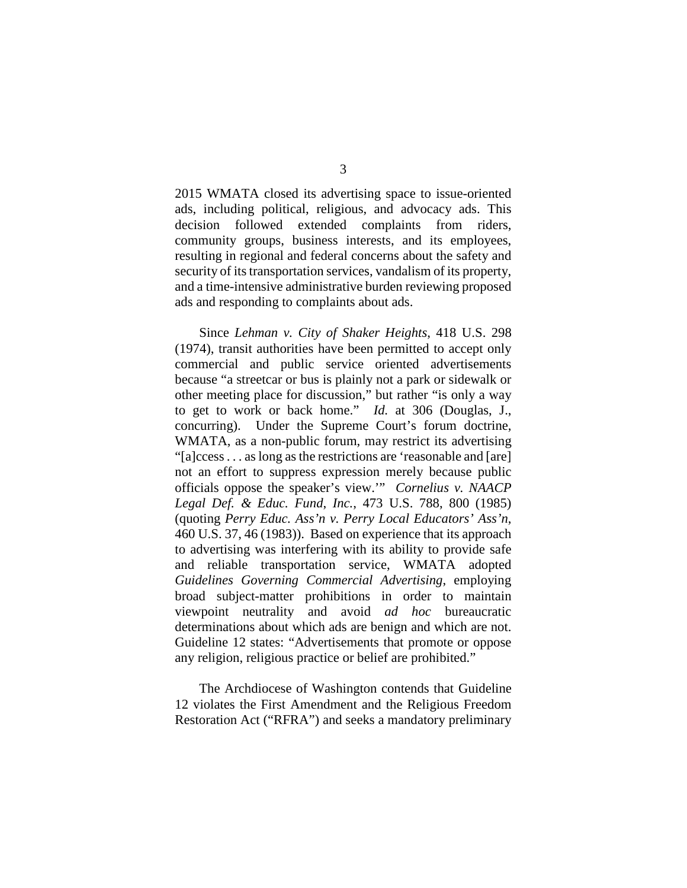2015 WMATA closed its advertising space to issue-oriented ads, including political, religious, and advocacy ads. This decision followed extended complaints from riders, community groups, business interests, and its employees, resulting in regional and federal concerns about the safety and security of its transportation services, vandalism of its property, and a time-intensive administrative burden reviewing proposed ads and responding to complaints about ads.

Since *Lehman v. City of Shaker Heights*, 418 U.S. 298 (1974), transit authorities have been permitted to accept only commercial and public service oriented advertisements because "a streetcar or bus is plainly not a park or sidewalk or other meeting place for discussion," but rather "is only a way to get to work or back home." *Id.* at 306 (Douglas, J., concurring). Under the Supreme Court's forum doctrine, WMATA, as a non-public forum, may restrict its advertising "[a]ccess . . . as long as the restrictions are 'reasonable and [are] not an effort to suppress expression merely because public officials oppose the speaker's view.'" *Cornelius v. NAACP Legal Def. & Educ. Fund*, *Inc.*, 473 U.S. 788, 800 (1985) (quoting *Perry Educ. Ass'n v. Perry Local Educators' Ass'n*, 460 U.S. 37, 46 (1983)). Based on experience that its approach to advertising was interfering with its ability to provide safe and reliable transportation service, WMATA adopted *Guidelines Governing Commercial Advertising*, employing broad subject-matter prohibitions in order to maintain viewpoint neutrality and avoid *ad hoc* bureaucratic determinations about which ads are benign and which are not. Guideline 12 states: "Advertisements that promote or oppose any religion, religious practice or belief are prohibited."

The Archdiocese of Washington contends that Guideline 12 violates the First Amendment and the Religious Freedom Restoration Act ("RFRA") and seeks a mandatory preliminary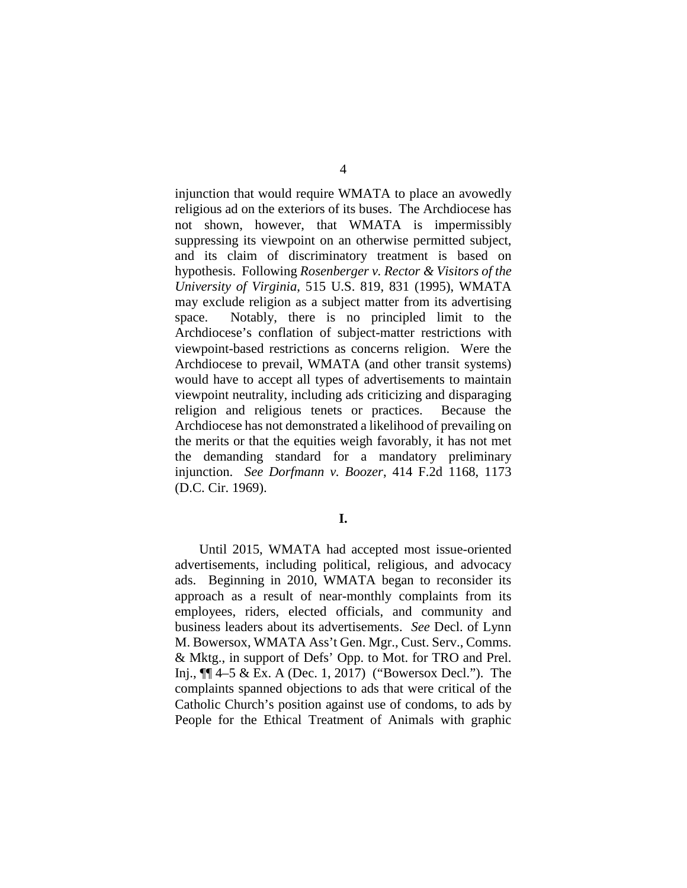injunction that would require WMATA to place an avowedly religious ad on the exteriors of its buses. The Archdiocese has not shown, however, that WMATA is impermissibly suppressing its viewpoint on an otherwise permitted subject, and its claim of discriminatory treatment is based on hypothesis. Following *Rosenberger v. Rector & Visitors of the University of Virginia*, 515 U.S. 819, 831 (1995), WMATA may exclude religion as a subject matter from its advertising space. Notably, there is no principled limit to the Archdiocese's conflation of subject-matter restrictions with viewpoint-based restrictions as concerns religion. Were the Archdiocese to prevail, WMATA (and other transit systems) would have to accept all types of advertisements to maintain viewpoint neutrality, including ads criticizing and disparaging religion and religious tenets or practices. Because the Archdiocese has not demonstrated a likelihood of prevailing on the merits or that the equities weigh favorably, it has not met the demanding standard for a mandatory preliminary injunction. *See Dorfmann v. Boozer*, 414 F.2d 1168, 1173 (D.C. Cir. 1969).

**I.**

Until 2015, WMATA had accepted most issue-oriented advertisements, including political, religious, and advocacy ads. Beginning in 2010, WMATA began to reconsider its approach as a result of near-monthly complaints from its employees, riders, elected officials, and community and business leaders about its advertisements. *See* Decl. of Lynn M. Bowersox, WMATA Ass't Gen. Mgr., Cust. Serv., Comms. & Mktg., in support of Defs' Opp. to Mot. for TRO and Prel. Inj., ¶¶ 4–5 & Ex. A (Dec. 1, 2017) ("Bowersox Decl."). The complaints spanned objections to ads that were critical of the Catholic Church's position against use of condoms, to ads by People for the Ethical Treatment of Animals with graphic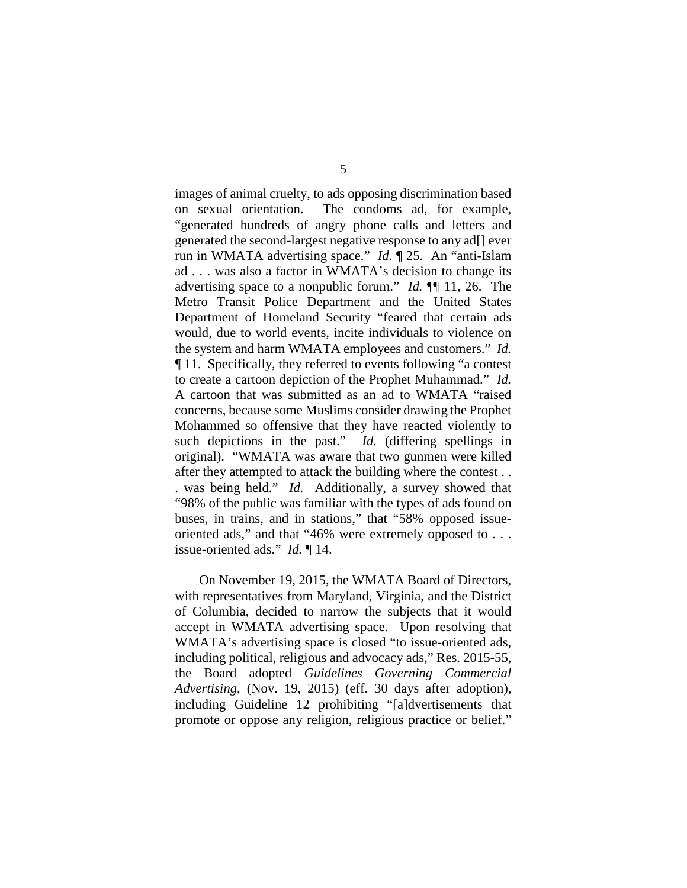images of animal cruelty, to ads opposing discrimination based on sexual orientation. The condoms ad, for example, "generated hundreds of angry phone calls and letters and generated the second-largest negative response to any ad[] ever run in WMATA advertising space." *Id*. ¶ 25. An "anti-Islam ad . . . was also a factor in WMATA's decision to change its advertising space to a nonpublic forum." *Id.* ¶¶ 11, 26. The Metro Transit Police Department and the United States Department of Homeland Security "feared that certain ads would, due to world events, incite individuals to violence on the system and harm WMATA employees and customers." *Id.* ¶ 11. Specifically, they referred to events following "a contest to create a cartoon depiction of the Prophet Muhammad." *Id.*  A cartoon that was submitted as an ad to WMATA "raised concerns, because some Muslims consider drawing the Prophet Mohammed so offensive that they have reacted violently to such depictions in the past." *Id.* (differing spellings in original). "WMATA was aware that two gunmen were killed after they attempted to attack the building where the contest . . . was being held." *Id.* Additionally, a survey showed that "98% of the public was familiar with the types of ads found on buses, in trains, and in stations," that "58% opposed issueoriented ads," and that "46% were extremely opposed to . . . issue-oriented ads." *Id.* ¶ 14.

On November 19, 2015, the WMATA Board of Directors, with representatives from Maryland, Virginia, and the District of Columbia, decided to narrow the subjects that it would accept in WMATA advertising space. Upon resolving that WMATA's advertising space is closed "to issue-oriented ads, including political, religious and advocacy ads," Res. 2015-55, the Board adopted *Guidelines Governing Commercial Advertising*, (Nov. 19, 2015) (eff. 30 days after adoption), including Guideline 12 prohibiting "[a]dvertisements that promote or oppose any religion, religious practice or belief."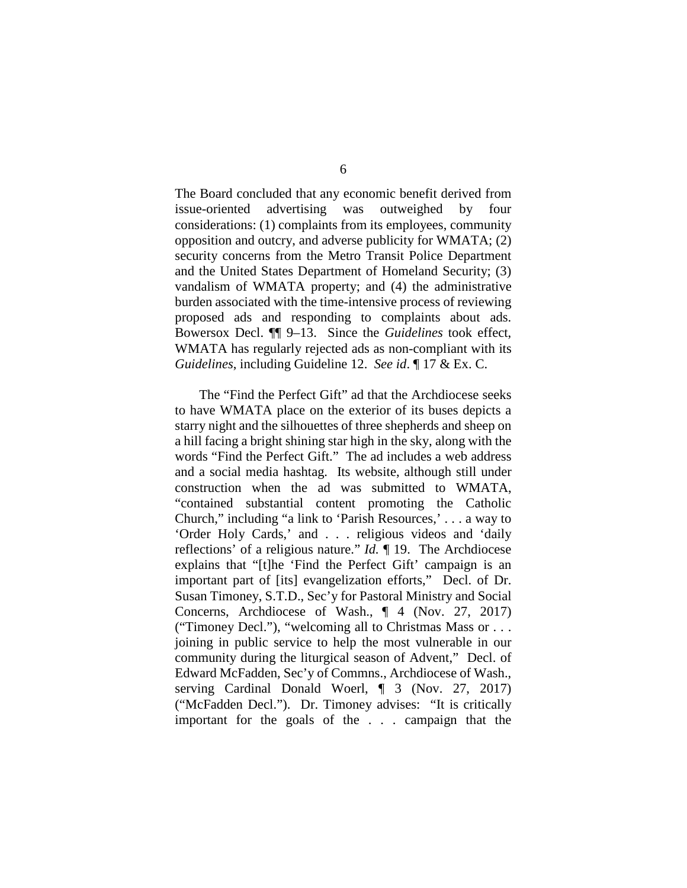The Board concluded that any economic benefit derived from issue-oriented advertising was outweighed by four considerations: (1) complaints from its employees, community opposition and outcry, and adverse publicity for WMATA; (2) security concerns from the Metro Transit Police Department and the United States Department of Homeland Security; (3) vandalism of WMATA property; and (4) the administrative burden associated with the time-intensive process of reviewing proposed ads and responding to complaints about ads. Bowersox Decl. ¶¶ 9–13. Since the *Guidelines* took effect, WMATA has regularly rejected ads as non-compliant with its *Guidelines*, including Guideline 12. *See id*. ¶ 17 & Ex. C.

The "Find the Perfect Gift" ad that the Archdiocese seeks to have WMATA place on the exterior of its buses depicts a starry night and the silhouettes of three shepherds and sheep on a hill facing a bright shining star high in the sky, along with the words "Find the Perfect Gift." The ad includes a web address and a social media hashtag. Its website, although still under construction when the ad was submitted to WMATA, "contained substantial content promoting the Catholic Church," including "a link to 'Parish Resources,' . . . a way to 'Order Holy Cards,' and . . . religious videos and 'daily reflections' of a religious nature." *Id.* ¶ 19. The Archdiocese explains that "[t]he 'Find the Perfect Gift' campaign is an important part of [its] evangelization efforts," Decl. of Dr. Susan Timoney, S.T.D., Sec'y for Pastoral Ministry and Social Concerns, Archdiocese of Wash., ¶ 4 (Nov. 27, 2017) ("Timoney Decl."), "welcoming all to Christmas Mass or . . . joining in public service to help the most vulnerable in our community during the liturgical season of Advent," Decl. of Edward McFadden, Sec'y of Commns., Archdiocese of Wash., serving Cardinal Donald Woerl, ¶ 3 (Nov. 27, 2017) ("McFadden Decl."). Dr. Timoney advises: "It is critically important for the goals of the . . . campaign that the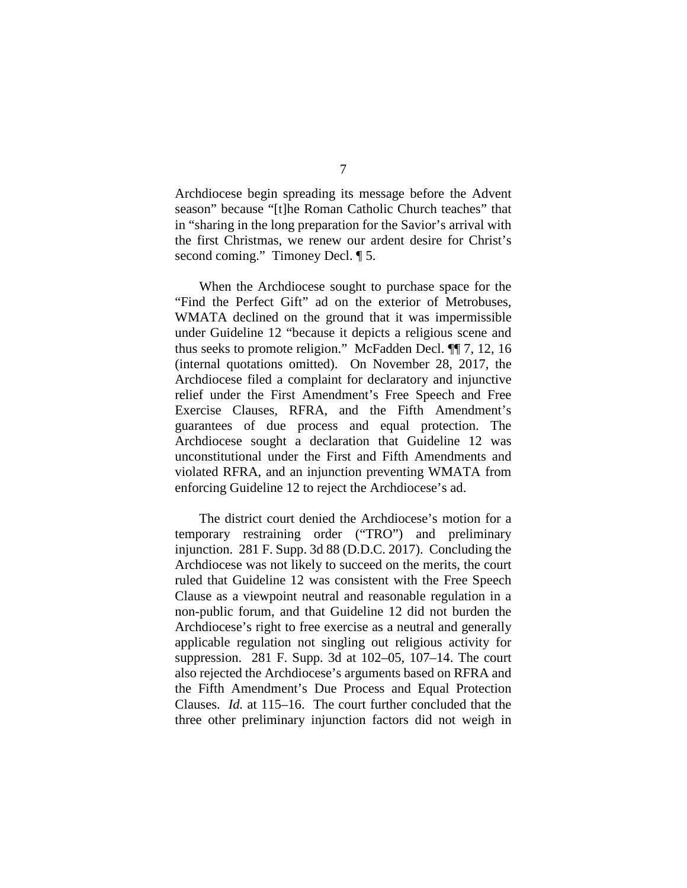Archdiocese begin spreading its message before the Advent season" because "[t]he Roman Catholic Church teaches" that in "sharing in the long preparation for the Savior's arrival with the first Christmas, we renew our ardent desire for Christ's second coming." Timoney Decl.  $\P$  5.

When the Archdiocese sought to purchase space for the "Find the Perfect Gift" ad on the exterior of Metrobuses, WMATA declined on the ground that it was impermissible under Guideline 12 "because it depicts a religious scene and thus seeks to promote religion." McFadden Decl. ¶¶ 7, 12, 16 (internal quotations omitted). On November 28, 2017, the Archdiocese filed a complaint for declaratory and injunctive relief under the First Amendment's Free Speech and Free Exercise Clauses, RFRA, and the Fifth Amendment's guarantees of due process and equal protection. The Archdiocese sought a declaration that Guideline 12 was unconstitutional under the First and Fifth Amendments and violated RFRA, and an injunction preventing WMATA from enforcing Guideline 12 to reject the Archdiocese's ad.

The district court denied the Archdiocese's motion for a temporary restraining order ("TRO") and preliminary injunction. 281 F. Supp. 3d 88 (D.D.C. 2017). Concluding the Archdiocese was not likely to succeed on the merits, the court ruled that Guideline 12 was consistent with the Free Speech Clause as a viewpoint neutral and reasonable regulation in a non-public forum, and that Guideline 12 did not burden the Archdiocese's right to free exercise as a neutral and generally applicable regulation not singling out religious activity for suppression. 281 F. Supp. 3d at 102–05, 107–14. The court also rejected the Archdiocese's arguments based on RFRA and the Fifth Amendment's Due Process and Equal Protection Clauses. *Id.* at 115–16. The court further concluded that the three other preliminary injunction factors did not weigh in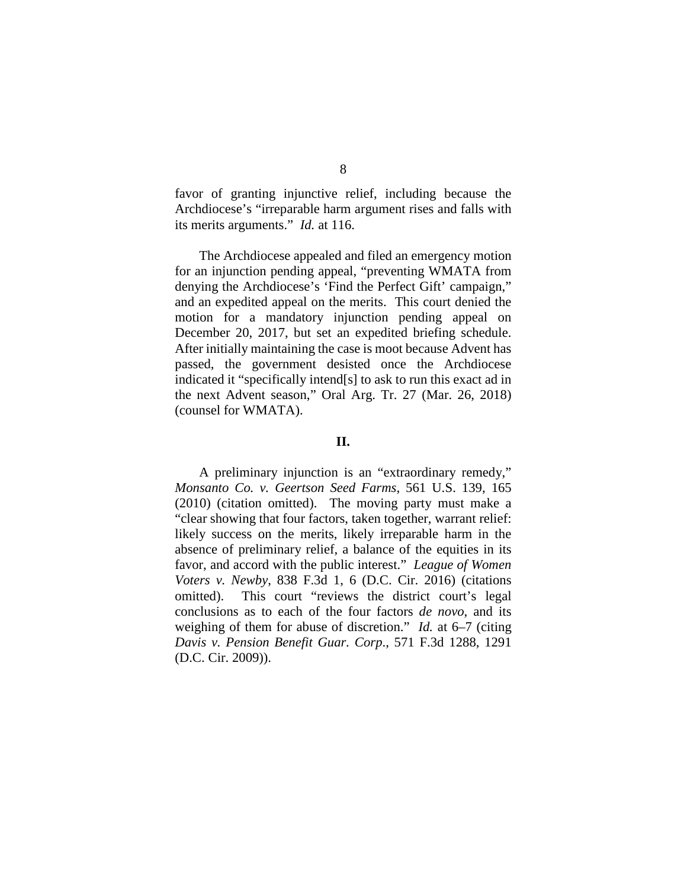favor of granting injunctive relief, including because the Archdiocese's "irreparable harm argument rises and falls with its merits arguments." *Id.* at 116.

The Archdiocese appealed and filed an emergency motion for an injunction pending appeal, "preventing WMATA from denying the Archdiocese's 'Find the Perfect Gift' campaign," and an expedited appeal on the merits. This court denied the motion for a mandatory injunction pending appeal on December 20, 2017, but set an expedited briefing schedule. After initially maintaining the case is moot because Advent has passed, the government desisted once the Archdiocese indicated it "specifically intend[s] to ask to run this exact ad in the next Advent season," Oral Arg. Tr. 27 (Mar. 26, 2018) (counsel for WMATA).

## **II.**

A preliminary injunction is an "extraordinary remedy," *Monsanto Co. v. Geertson Seed Farms*, 561 U.S. 139, 165 (2010) (citation omitted). The moving party must make a "clear showing that four factors, taken together, warrant relief: likely success on the merits, likely irreparable harm in the absence of preliminary relief, a balance of the equities in its favor, and accord with the public interest." *League of Women Voters v. Newby*, 838 F.3d 1, 6 (D.C. Cir. 2016) (citations omitted). This court "reviews the district court's legal conclusions as to each of the four factors *de novo*, and its weighing of them for abuse of discretion." *Id.* at 6–7 (citing *Davis v. Pension Benefit Guar. Corp*., 571 F.3d 1288, 1291 (D.C. Cir. 2009)).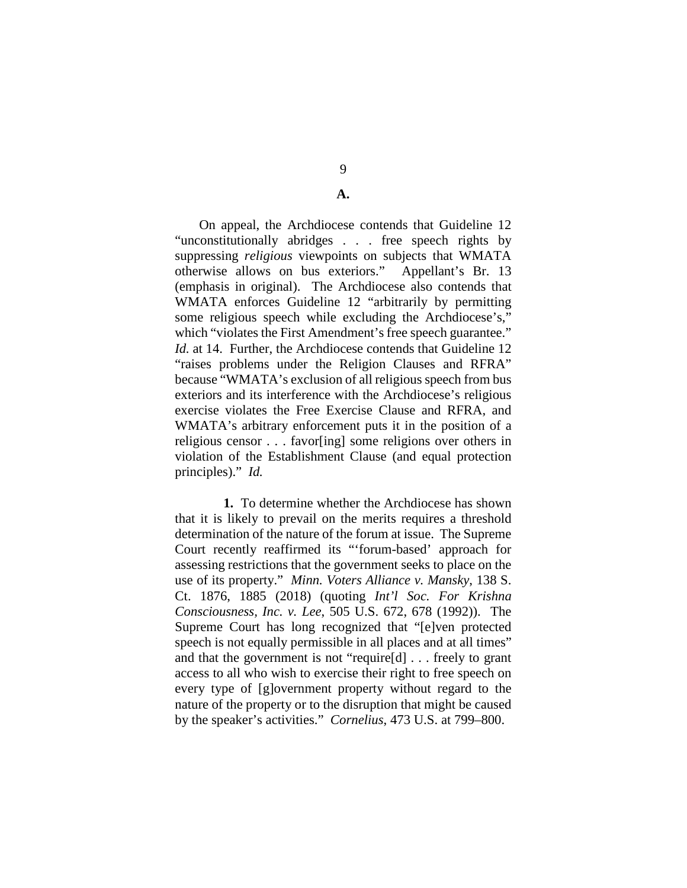**A.**

On appeal, the Archdiocese contends that Guideline 12 "unconstitutionally abridges . . . free speech rights by suppressing *religious* viewpoints on subjects that WMATA otherwise allows on bus exteriors." Appellant's Br. 13 (emphasis in original). The Archdiocese also contends that WMATA enforces Guideline 12 "arbitrarily by permitting some religious speech while excluding the Archdiocese's," which "violates the First Amendment's free speech guarantee." *Id.* at 14. Further, the Archdiocese contends that Guideline 12 "raises problems under the Religion Clauses and RFRA" because "WMATA's exclusion of all religious speech from bus exteriors and its interference with the Archdiocese's religious exercise violates the Free Exercise Clause and RFRA, and WMATA's arbitrary enforcement puts it in the position of a religious censor . . . favor[ing] some religions over others in violation of the Establishment Clause (and equal protection principles)." *Id.*

**1.** To determine whether the Archdiocese has shown that it is likely to prevail on the merits requires a threshold determination of the nature of the forum at issue. The Supreme Court recently reaffirmed its "'forum-based' approach for assessing restrictions that the government seeks to place on the use of its property." *Minn. Voters Alliance v. Mansky*, 138 S. Ct. 1876, 1885 (2018) (quoting *Int'l Soc. For Krishna Consciousness, Inc. v. Lee*, 505 U.S. 672, 678 (1992)). The Supreme Court has long recognized that "[e]ven protected speech is not equally permissible in all places and at all times" and that the government is not "require[d] . . . freely to grant access to all who wish to exercise their right to free speech on every type of [g]overnment property without regard to the nature of the property or to the disruption that might be caused by the speaker's activities." *Cornelius*, 473 U.S. at 799–800.

9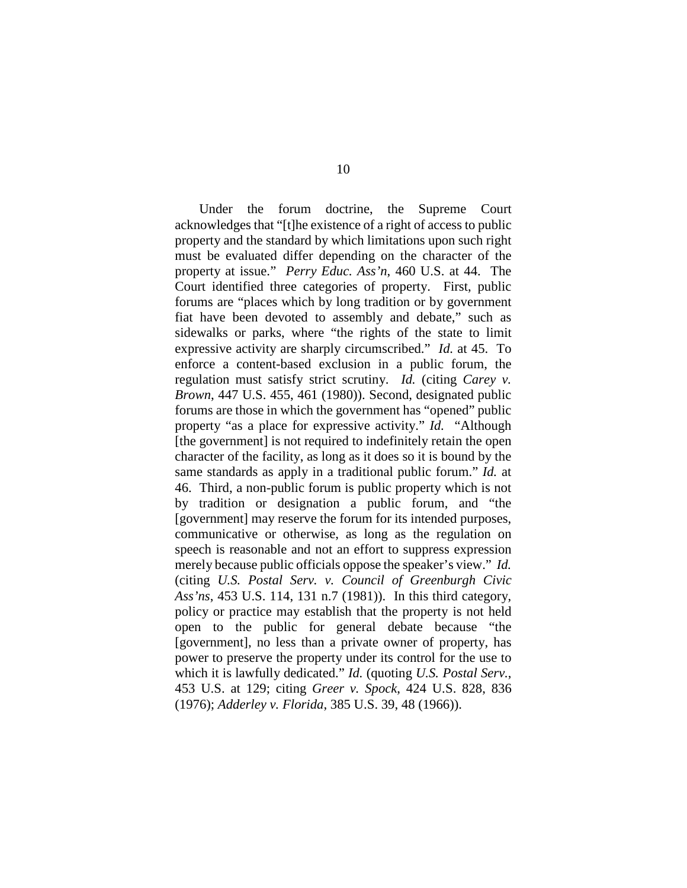Under the forum doctrine, the Supreme Court acknowledges that "[t]he existence of a right of access to public property and the standard by which limitations upon such right must be evaluated differ depending on the character of the property at issue." *Perry Educ. Ass'n*, 460 U.S. at 44. The Court identified three categories of property. First, public forums are "places which by long tradition or by government fiat have been devoted to assembly and debate," such as sidewalks or parks, where "the rights of the state to limit expressive activity are sharply circumscribed." *Id.* at 45. To enforce a content-based exclusion in a public forum, the regulation must satisfy strict scrutiny. *Id.* (citing *Carey v. Brown*, 447 U.S. 455, 461 (1980)). Second, designated public forums are those in which the government has "opened" public property "as a place for expressive activity." *Id.* "Although [the government] is not required to indefinitely retain the open character of the facility, as long as it does so it is bound by the same standards as apply in a traditional public forum." *Id.* at 46. Third, a non-public forum is public property which is not by tradition or designation a public forum, and "the [government] may reserve the forum for its intended purposes, communicative or otherwise, as long as the regulation on speech is reasonable and not an effort to suppress expression merely because public officials oppose the speaker's view." *Id.*  (citing *U.S. Postal Serv. v. Council of Greenburgh Civic Ass'ns*, 453 U.S. 114, 131 n.7 (1981)). In this third category, policy or practice may establish that the property is not held open to the public for general debate because "the [government], no less than a private owner of property, has power to preserve the property under its control for the use to which it is lawfully dedicated." *Id.* (quoting *U.S. Postal Serv.*, 453 U.S. at 129; citing *Greer v. Spock*, 424 U.S. 828, 836 (1976); *Adderley v. Florida*, 385 U.S. 39, 48 (1966)).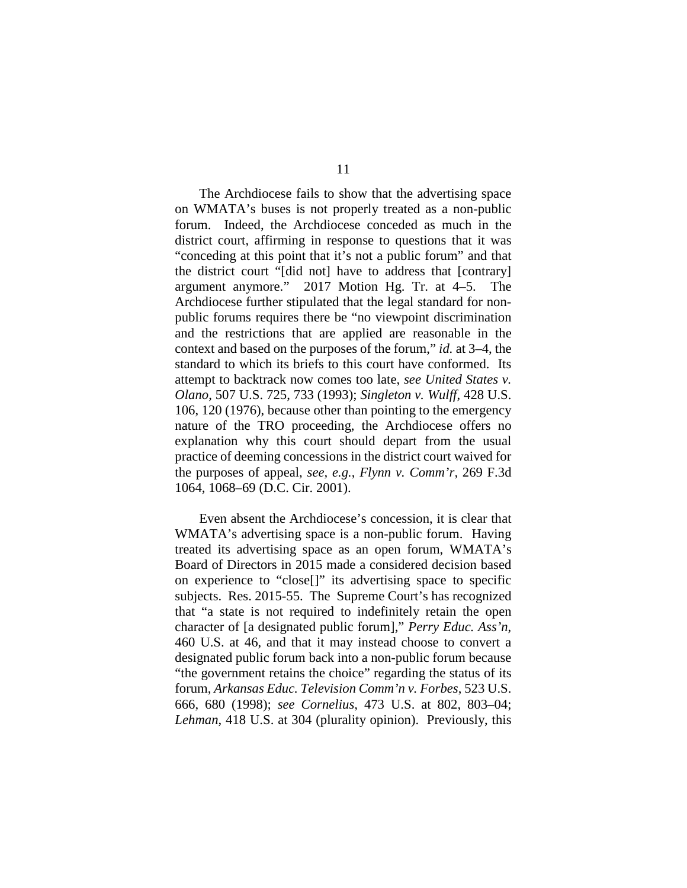The Archdiocese fails to show that the advertising space on WMATA's buses is not properly treated as a non-public forum. Indeed, the Archdiocese conceded as much in the district court, affirming in response to questions that it was "conceding at this point that it's not a public forum" and that the district court "[did not] have to address that [contrary] argument anymore." 2017 Motion Hg. Tr. at 4–5. The Archdiocese further stipulated that the legal standard for nonpublic forums requires there be "no viewpoint discrimination and the restrictions that are applied are reasonable in the context and based on the purposes of the forum," *id.* at 3–4, the standard to which its briefs to this court have conformed. Its attempt to backtrack now comes too late, *see United States v. Olano*, 507 U.S. 725, 733 (1993); *Singleton v. Wulff*, 428 U.S. 106, 120 (1976), because other than pointing to the emergency nature of the TRO proceeding, the Archdiocese offers no explanation why this court should depart from the usual practice of deeming concessions in the district court waived for the purposes of appeal, *see, e.g.*, *[Flynn v. Comm'r,](https://1.next.westlaw.com/Link/Document/FullText?findType=Y&serNum=2001897169&pubNum=506&originatingDoc=I5c425d6254e511ddb5cbad29a280d47c&refType=RP&fi=co_pp_sp_506_1068&originationContext=document&transitionType=DocumentItem&contextData=(sc.DocLink)#co_pp_sp_506_1068)* 269 F.3d [1064, 1068–69 \(D.C. Cir. 2001\).](https://1.next.westlaw.com/Link/Document/FullText?findType=Y&serNum=2001897169&pubNum=506&originatingDoc=I5c425d6254e511ddb5cbad29a280d47c&refType=RP&fi=co_pp_sp_506_1068&originationContext=document&transitionType=DocumentItem&contextData=(sc.DocLink)#co_pp_sp_506_1068)

Even absent the Archdiocese's concession, it is clear that WMATA's advertising space is a non-public forum. Having treated its advertising space as an open forum, WMATA's Board of Directors in 2015 made a considered decision based on experience to "close[]" its advertising space to specific subjects. Res. 2015-55. The Supreme Court's has recognized that "a state is not required to indefinitely retain the open character of [a designated public forum]," *Perry Educ. Ass'n*, 460 U.S. at 46, and that it may instead choose to convert a designated public forum back into a non-public forum because "the government retains the choice" regarding the status of its forum, *Arkansas Educ. Television Comm'n v. Forbes*, 523 U.S. 666, 680 (1998); *see Cornelius*, 473 U.S. at 802, 803–04; *Lehman*, 418 U.S. at 304 (plurality opinion). Previously, this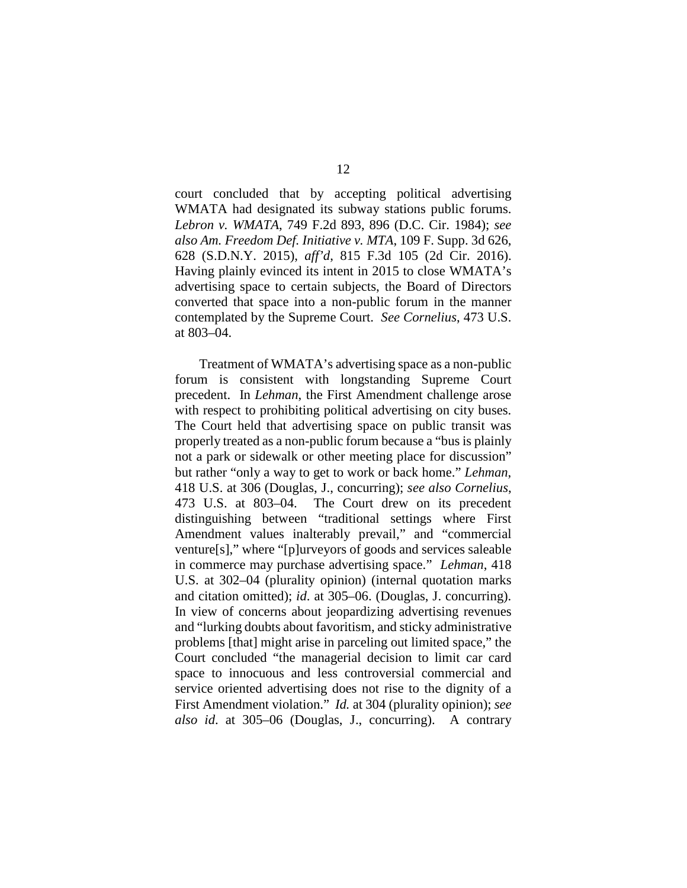court concluded that by accepting political advertising WMATA had designated its subway stations public forums. *Lebron v. WMATA*, 749 F.2d 893, 896 (D.C. Cir. 1984); *see also Am. Freedom Def. Initiative v. MTA*, 109 F. Supp. 3d 626, 628 (S.D.N.Y. 2015), *aff'd*, 815 F.3d 105 (2d Cir. 2016). Having plainly evinced its intent in 2015 to close WMATA's advertising space to certain subjects, the Board of Directors converted that space into a non-public forum in the manner contemplated by the Supreme Court. *See Cornelius*, 473 U.S. at 803–04.

Treatment of WMATA's advertising space as a non-public forum is consistent with longstanding Supreme Court precedent. In *Lehman*, the First Amendment challenge arose with respect to prohibiting political advertising on city buses. The Court held that advertising space on public transit was properly treated as a non-public forum because a "bus is plainly not a park or sidewalk or other meeting place for discussion" but rather "only a way to get to work or back home." *Lehman*, 418 U.S. at 306 (Douglas, J., concurring); *see also Cornelius*, 473 U.S. at 803–04. The Court drew on its precedent distinguishing between "traditional settings where First Amendment values inalterably prevail," and "commercial venture[s]," where "[p]urveyors of goods and services saleable in commerce may purchase advertising space." *Lehman*, 418 U.S. at 302–04 (plurality opinion) (internal quotation marks and citation omitted); *id*. at 305–06. (Douglas, J. concurring). In view of concerns about jeopardizing advertising revenues and "lurking doubts about favoritism, and sticky administrative problems [that] might arise in parceling out limited space," the Court concluded "the managerial decision to limit car card space to innocuous and less controversial commercial and service oriented advertising does not rise to the dignity of a First Amendment violation." *Id.* at 304 (plurality opinion); *see also id*. at 305–06 (Douglas, J., concurring). A contrary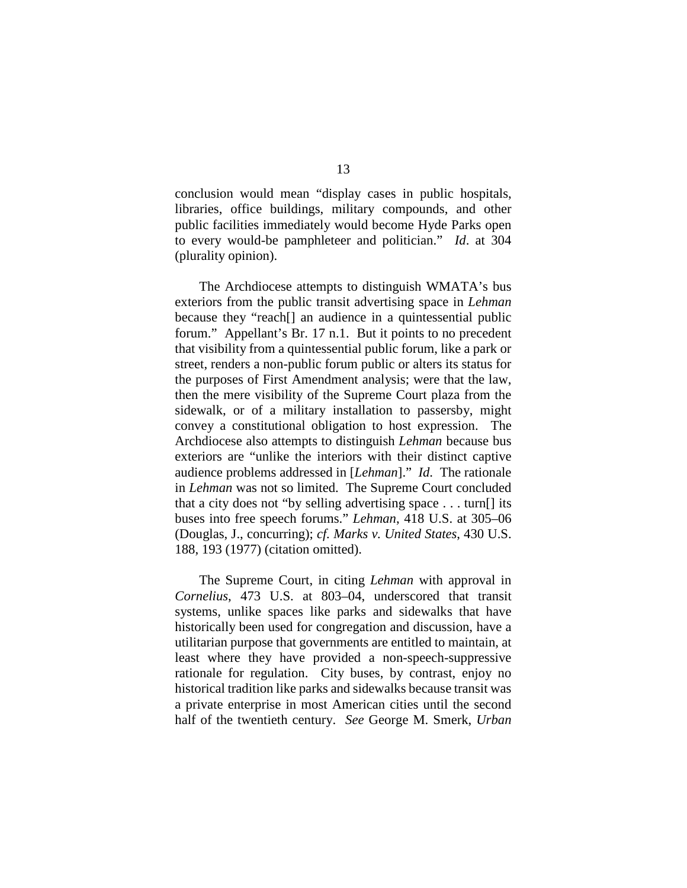conclusion would mean "display cases in public hospitals, libraries, office buildings, military compounds, and other public facilities immediately would become Hyde Parks open to every would-be pamphleteer and politician." *Id*. at 304 (plurality opinion).

The Archdiocese attempts to distinguish WMATA's bus exteriors from the public transit advertising space in *Lehman* because they "reach[] an audience in a quintessential public forum." Appellant's Br. 17 n.1. But it points to no precedent that visibility from a quintessential public forum, like a park or street, renders a non-public forum public or alters its status for the purposes of First Amendment analysis; were that the law, then the mere visibility of the Supreme Court plaza from the sidewalk, or of a military installation to passersby, might convey a constitutional obligation to host expression. The Archdiocese also attempts to distinguish *Lehman* because bus exteriors are "unlike the interiors with their distinct captive audience problems addressed in [*Lehman*]." *Id*. The rationale in *Lehman* was not so limited. The Supreme Court concluded that a city does not "by selling advertising space . . . turn[] its buses into free speech forums." *Lehman*, 418 U.S. at 305–06 (Douglas, J., concurring); *cf. Marks v. United States*, 430 U.S. 188, 193 (1977) (citation omitted).

The Supreme Court, in citing *Lehman* with approval in *Cornelius*, 473 U.S. at 803–04, underscored that transit systems, unlike spaces like parks and sidewalks that have historically been used for congregation and discussion, have a utilitarian purpose that governments are entitled to maintain, at least where they have provided a non-speech-suppressive rationale for regulation. City buses, by contrast, enjoy no historical tradition like parks and sidewalks because transit was a private enterprise in most American cities until the second half of the twentieth century. *See* George M. Smerk, *Urban*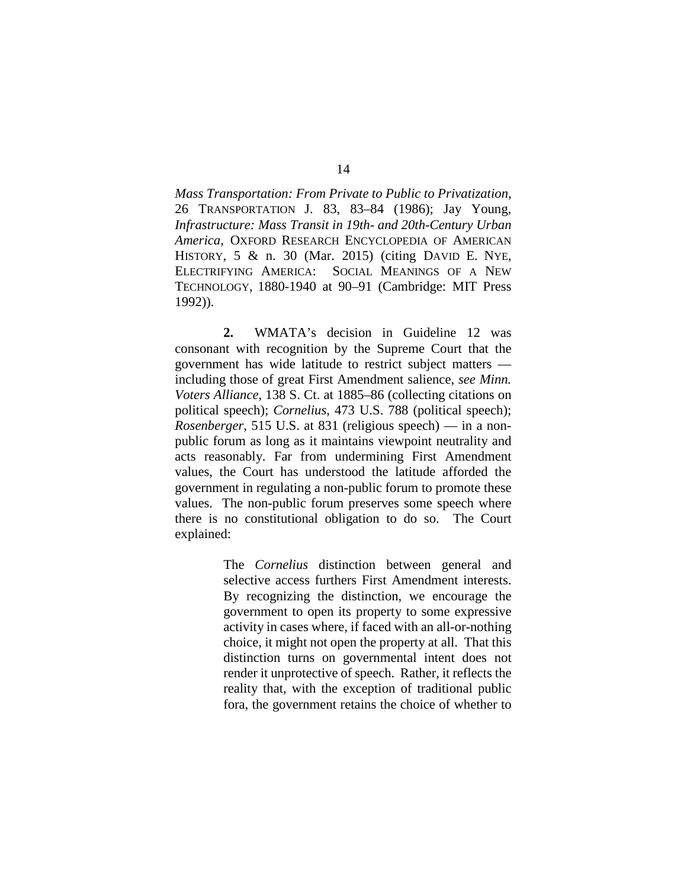*Mass Transportation: From Private to Public to Privatization*, 26 TRANSPORTATION J. 83, 83–84 (1986); Jay Young, *Infrastructure: Mass Transit in 19th- and 20th-Century Urban America*, OXFORD RESEARCH ENCYCLOPEDIA OF AMERICAN HISTORY, 5 & n. 30 (Mar. 2015) (citing DAVID E. NYE, ELECTRIFYING AMERICA: SOCIAL MEANINGS OF A NEW TECHNOLOGY, 1880-1940 at 90–91 (Cambridge: MIT Press 1992)).

**2.** WMATA's decision in Guideline 12 was consonant with recognition by the Supreme Court that the government has wide latitude to restrict subject matters including those of great First Amendment salience, *see Minn. Voters Alliance*, 138 S. Ct. at 1885–86 (collecting citations on political speech); *Cornelius*, 473 U.S. 788 (political speech); *Rosenberger*, 515 U.S. at 831 (religious speech) — in a nonpublic forum as long as it maintains viewpoint neutrality and acts reasonably. Far from undermining First Amendment values, the Court has understood the latitude afforded the government in regulating a non-public forum to promote these values. The non-public forum preserves some speech where there is no constitutional obligation to do so. The Court explained:

> The *Cornelius* distinction between general and selective access furthers First Amendment interests. By recognizing the distinction, we encourage the government to open its property to some expressive activity in cases where, if faced with an all-or-nothing choice, it might not open the property at all. That this distinction turns on governmental intent does not render it unprotective of speech. Rather, it reflects the reality that, with the exception of traditional public fora, the government retains the choice of whether to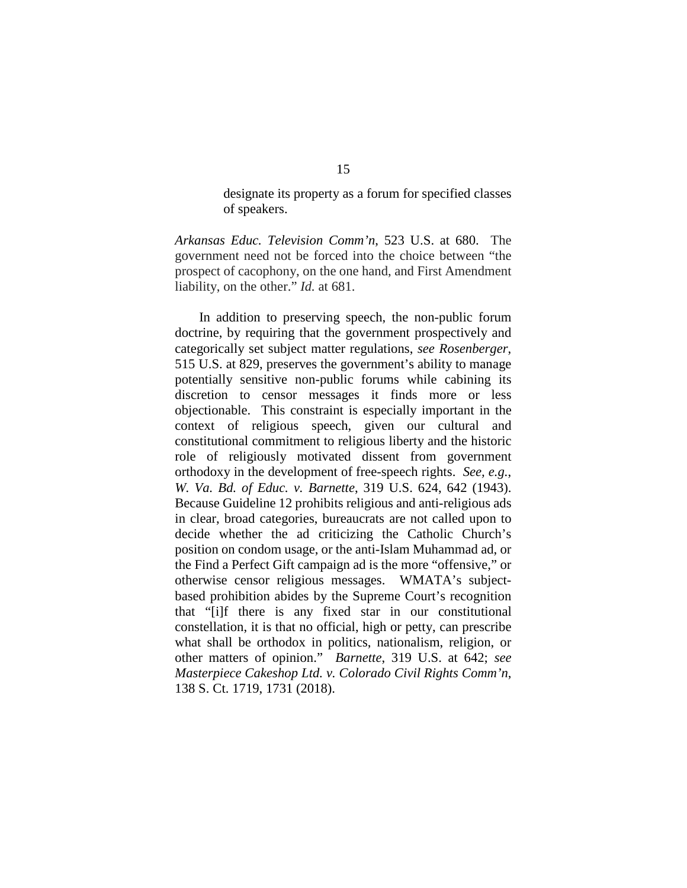designate its property as a forum for specified classes of speakers.

*Arkansas Educ. Television Comm'n*, 523 U.S. at 680. The government need not be forced into the choice between "the prospect of cacophony, on the one hand, and First Amendment liability, on the other." *Id.* at 681.

In addition to preserving speech, the non-public forum doctrine, by requiring that the government prospectively and categorically set subject matter regulations, *see Rosenberger*, 515 U.S. at 829, preserves the government's ability to manage potentially sensitive non-public forums while cabining its discretion to censor messages it finds more or less objectionable. This constraint is especially important in the context of religious speech, given our cultural and constitutional commitment to religious liberty and the historic role of religiously motivated dissent from government orthodoxy in the development of free-speech rights. *See, e.g.*, *W. Va. Bd. of Educ. v. Barnette*, 319 U.S. 624, 642 (1943). Because Guideline 12 prohibits religious and anti-religious ads in clear, broad categories, bureaucrats are not called upon to decide whether the ad criticizing the Catholic Church's position on condom usage, or the anti-Islam Muhammad ad, or the Find a Perfect Gift campaign ad is the more "offensive," or otherwise censor religious messages. WMATA's subjectbased prohibition abides by the Supreme Court's recognition that "[i]f there is any fixed star in our constitutional constellation, it is that no official, high or petty, can prescribe what shall be orthodox in politics, nationalism, religion, or other matters of opinion." *Barnette*, 319 U.S. at 642; *see Masterpiece Cakeshop Ltd. v. Colorado Civil Rights Comm'n*, 138 S. Ct. 1719, 1731 (2018).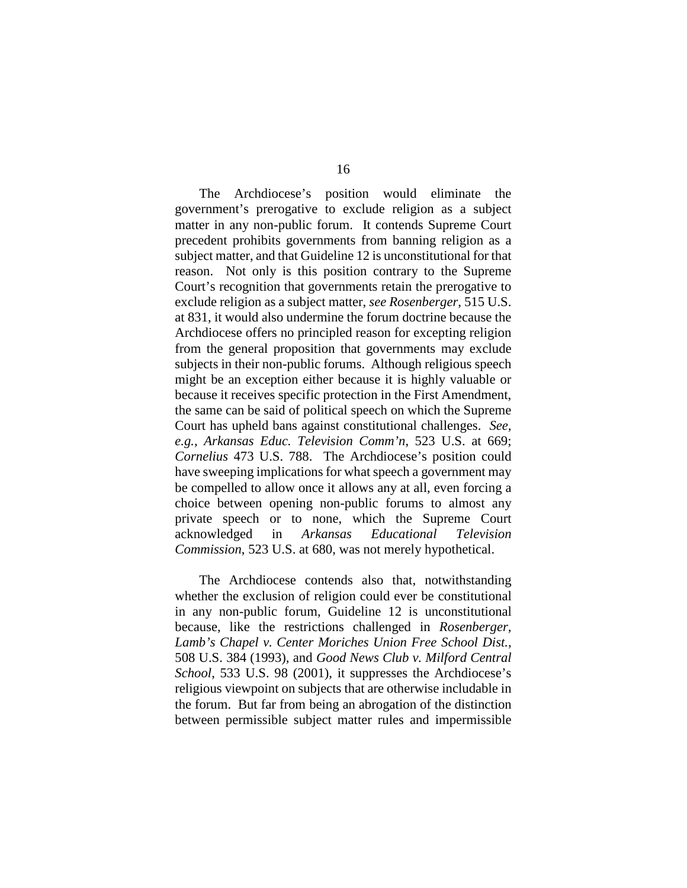The Archdiocese's position would eliminate the government's prerogative to exclude religion as a subject matter in any non-public forum. It contends Supreme Court precedent prohibits governments from banning religion as a subject matter, and that Guideline 12 is unconstitutional for that reason. Not only is this position contrary to the Supreme Court's recognition that governments retain the prerogative to exclude religion as a subject matter, *see Rosenberger*, 515 U.S. at 831, it would also undermine the forum doctrine because the Archdiocese offers no principled reason for excepting religion from the general proposition that governments may exclude subjects in their non-public forums. Although religious speech might be an exception either because it is highly valuable or because it receives specific protection in the First Amendment, the same can be said of political speech on which the Supreme Court has upheld bans against constitutional challenges. *See, e.g.*, *Arkansas Educ. Television Comm'n*, 523 U.S. at 669; *Cornelius* 473 U.S. 788. The Archdiocese's position could have sweeping implications for what speech a government may be compelled to allow once it allows any at all, even forcing a choice between opening non-public forums to almost any private speech or to none, which the Supreme Court acknowledged in *Arkansas Educational Television Commission*, 523 U.S. at 680, was not merely hypothetical.

The Archdiocese contends also that, notwithstanding whether the exclusion of religion could ever be constitutional in any non-public forum, Guideline 12 is unconstitutional because, like the restrictions challenged in *Rosenberger*, *Lamb's Chapel v. Center Moriches Union Free School Dist.*, 508 U.S. 384 (1993), and *Good News Club v. Milford Central School*, 533 U.S. 98 (2001), it suppresses the Archdiocese's religious viewpoint on subjects that are otherwise includable in the forum. But far from being an abrogation of the distinction between permissible subject matter rules and impermissible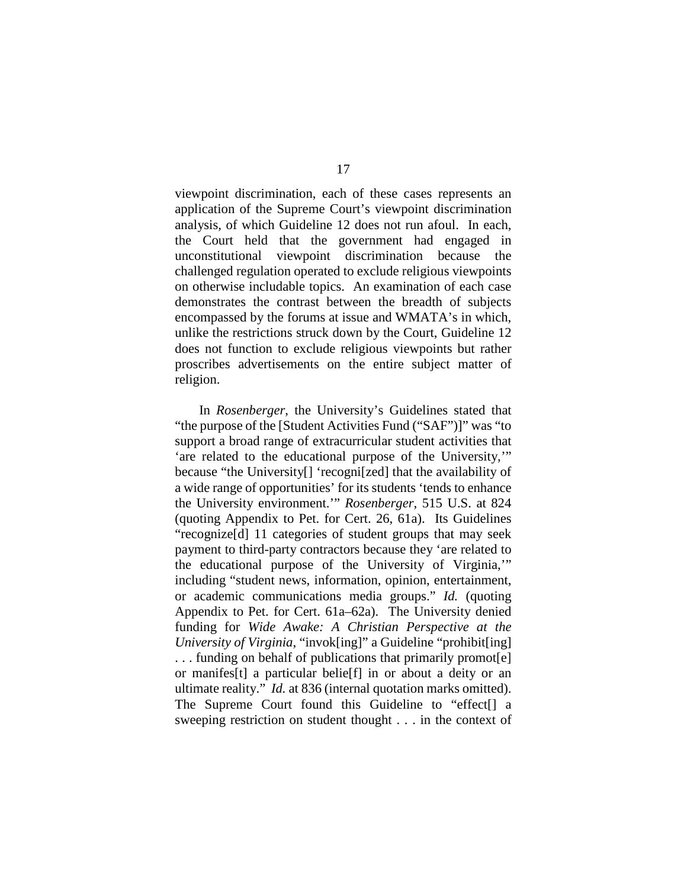viewpoint discrimination, each of these cases represents an application of the Supreme Court's viewpoint discrimination analysis, of which Guideline 12 does not run afoul. In each, the Court held that the government had engaged in unconstitutional viewpoint discrimination because the challenged regulation operated to exclude religious viewpoints on otherwise includable topics. An examination of each case demonstrates the contrast between the breadth of subjects encompassed by the forums at issue and WMATA's in which, unlike the restrictions struck down by the Court, Guideline 12 does not function to exclude religious viewpoints but rather proscribes advertisements on the entire subject matter of religion.

In *Rosenberger*, the University's Guidelines stated that "the purpose of the [Student Activities Fund ("SAF")]" was "to support a broad range of extracurricular student activities that 'are related to the educational purpose of the University,'" because "the University[] 'recogni[zed] that the availability of a wide range of opportunities' for its students 'tends to enhance the University environment.'" *Rosenberger*, 515 U.S. at 824 (quoting Appendix to Pet. for Cert. 26, 61a). Its Guidelines "recognize[d] 11 categories of student groups that may seek payment to third-party contractors because they 'are related to the educational purpose of the University of Virginia,'" including "student news, information, opinion, entertainment, or academic communications media groups." *Id.* (quoting Appendix to Pet. for Cert. 61a–62a). The University denied funding for *Wide Awake: A Christian Perspective at the University of Virginia*, "invok[ing]" a Guideline "prohibit[ing] . . . funding on behalf of publications that primarily promot[e] or manifes[t] a particular belie[f] in or about a deity or an ultimate reality." *Id.* at 836 (internal quotation marks omitted). The Supreme Court found this Guideline to "effect[] a sweeping restriction on student thought . . . in the context of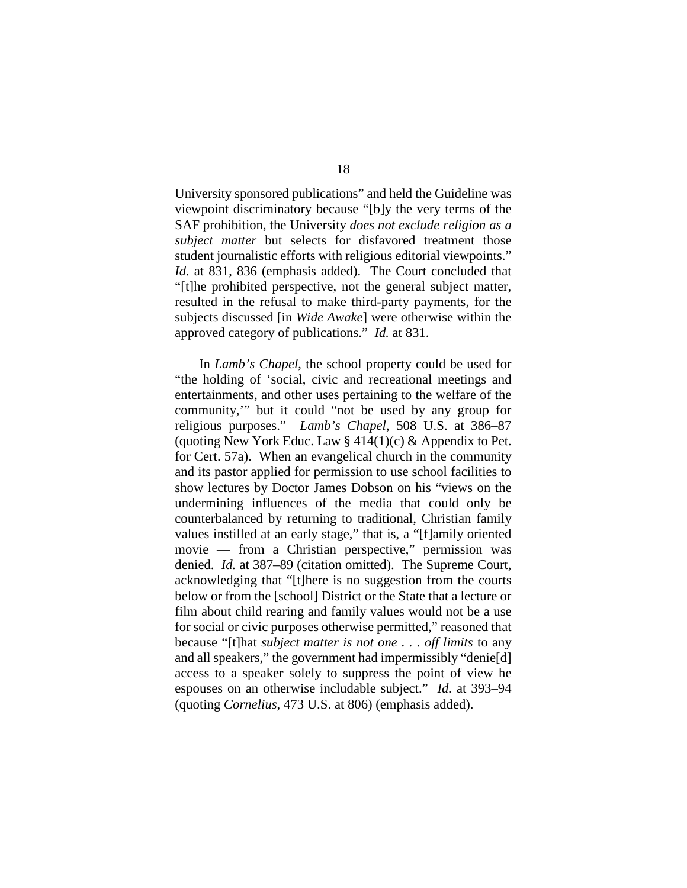University sponsored publications" and held the Guideline was viewpoint discriminatory because "[b]y the very terms of the SAF prohibition, the University *does not exclude religion as a subject matter* but selects for disfavored treatment those student journalistic efforts with religious editorial viewpoints." *Id.* at 831, 836 (emphasis added). The Court concluded that "[t]he prohibited perspective, not the general subject matter, resulted in the refusal to make third-party payments, for the subjects discussed [in *Wide Awake*] were otherwise within the approved category of publications." *Id.* at 831.

In *Lamb's Chapel*, the school property could be used for "the holding of 'social, civic and recreational meetings and entertainments, and other uses pertaining to the welfare of the community,'" but it could "not be used by any group for religious purposes." *Lamb's Chapel*, 508 U.S. at 386–87 (quoting New York Educ. Law  $\S 414(1)(c) \&$  Appendix to Pet. for Cert. 57a). When an evangelical church in the community and its pastor applied for permission to use school facilities to show lectures by Doctor James Dobson on his "views on the undermining influences of the media that could only be counterbalanced by returning to traditional, Christian family values instilled at an early stage," that is, a "[f]amily oriented movie — from a Christian perspective," permission was denied. *Id.* at 387–89 (citation omitted). The Supreme Court, acknowledging that "[t]here is no suggestion from the courts below or from the [school] District or the State that a lecture or film about child rearing and family values would not be a use for social or civic purposes otherwise permitted," reasoned that because "[t]hat *subject matter is not one . . . off limits* to any and all speakers," the government had impermissibly "denie[d] access to a speaker solely to suppress the point of view he espouses on an otherwise includable subject." *Id.* at 393–94 (quoting *Cornelius*, 473 U.S. at 806) (emphasis added).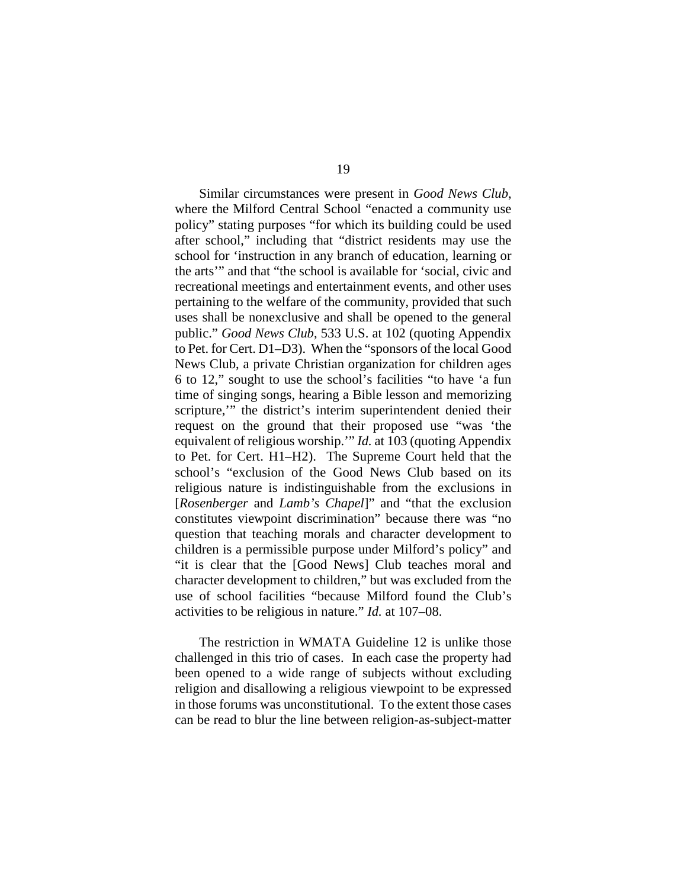Similar circumstances were present in *Good News Club*, where the Milford Central School "enacted a community use policy" stating purposes "for which its building could be used after school," including that "district residents may use the school for 'instruction in any branch of education, learning or the arts'" and that "the school is available for 'social, civic and recreational meetings and entertainment events, and other uses pertaining to the welfare of the community, provided that such uses shall be nonexclusive and shall be opened to the general public." *Good News Club*, 533 U.S. at 102 (quoting Appendix to Pet. for Cert. D1–D3). When the "sponsors of the local Good News Club, a private Christian organization for children ages 6 to 12," sought to use the school's facilities "to have 'a fun time of singing songs, hearing a Bible lesson and memorizing scripture,'" the district's interim superintendent denied their request on the ground that their proposed use "was 'the equivalent of religious worship.'" *Id.* at 103 (quoting Appendix to Pet. for Cert. H1–H2). The Supreme Court held that the school's "exclusion of the Good News Club based on its religious nature is indistinguishable from the exclusions in [*Rosenberger* and *Lamb's Chapel*]" and "that the exclusion constitutes viewpoint discrimination" because there was "no question that teaching morals and character development to children is a permissible purpose under Milford's policy" and "it is clear that the [Good News] Club teaches moral and character development to children," but was excluded from the use of school facilities "because Milford found the Club's activities to be religious in nature." *Id.* at 107–08.

The restriction in WMATA Guideline 12 is unlike those challenged in this trio of cases. In each case the property had been opened to a wide range of subjects without excluding religion and disallowing a religious viewpoint to be expressed in those forums was unconstitutional. To the extent those cases can be read to blur the line between religion-as-subject-matter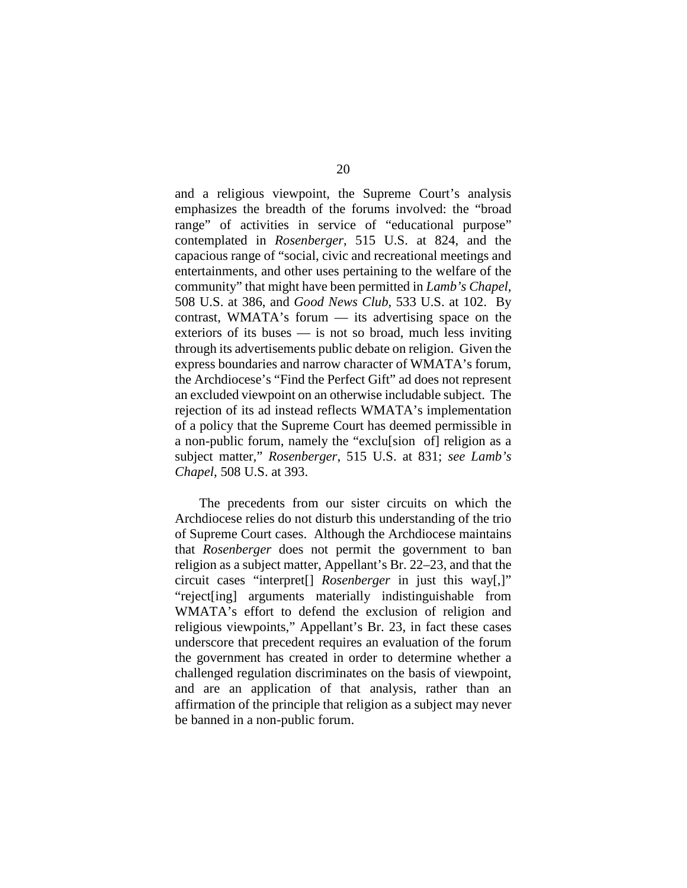and a religious viewpoint, the Supreme Court's analysis emphasizes the breadth of the forums involved: the "broad range" of activities in service of "educational purpose" contemplated in *Rosenberger*, 515 U.S. at 824, and the capacious range of "social, civic and recreational meetings and entertainments, and other uses pertaining to the welfare of the community" that might have been permitted in *Lamb's Chapel*, 508 U.S. at 386, and *Good News Club*, 533 U.S. at 102. By contrast, WMATA's forum — its advertising space on the exteriors of its buses — is not so broad, much less inviting through its advertisements public debate on religion. Given the express boundaries and narrow character of WMATA's forum, the Archdiocese's "Find the Perfect Gift" ad does not represent an excluded viewpoint on an otherwise includable subject. The rejection of its ad instead reflects WMATA's implementation of a policy that the Supreme Court has deemed permissible in a non-public forum, namely the "exclu[sion of] religion as a subject matter," *Rosenberger*, 515 U.S. at 831; *see Lamb's Chapel*, 508 U.S. at 393.

The precedents from our sister circuits on which the Archdiocese relies do not disturb this understanding of the trio of Supreme Court cases. Although the Archdiocese maintains that *Rosenberger* does not permit the government to ban religion as a subject matter, Appellant's Br. 22–23, and that the circuit cases "interpret[] *Rosenberger* in just this way[,]" "reject[ing] arguments materially indistinguishable from WMATA's effort to defend the exclusion of religion and religious viewpoints," Appellant's Br. 23, in fact these cases underscore that precedent requires an evaluation of the forum the government has created in order to determine whether a challenged regulation discriminates on the basis of viewpoint, and are an application of that analysis, rather than an affirmation of the principle that religion as a subject may never be banned in a non-public forum.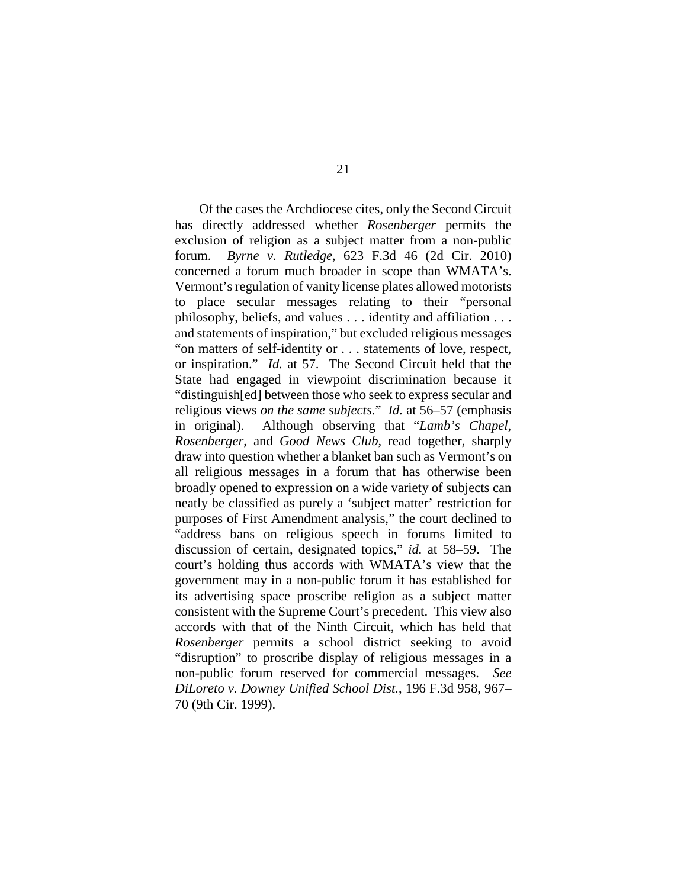Of the cases the Archdiocese cites, only the Second Circuit has directly addressed whether *Rosenberger* permits the exclusion of religion as a subject matter from a non-public forum. *Byrne v. Rutledge*, 623 F.3d 46 (2d Cir. 2010) concerned a forum much broader in scope than WMATA's. Vermont's regulation of vanity license plates allowed motorists to place secular messages relating to their "personal philosophy, beliefs, and values . . . identity and affiliation . . . and statements of inspiration," but excluded religious messages "on matters of self-identity or . . . statements of love, respect, or inspiration." *Id.* at 57. The Second Circuit held that the State had engaged in viewpoint discrimination because it "distinguish[ed] between those who seek to express secular and religious views *on the same subjects*." *Id.* at 56–57 (emphasis in original). Although observing that "*Lamb's Chapel*, *Rosenberger*, and *Good News Club*, read together, sharply draw into question whether a blanket ban such as Vermont's on all religious messages in a forum that has otherwise been broadly opened to expression on a wide variety of subjects can neatly be classified as purely a 'subject matter' restriction for purposes of First Amendment analysis," the court declined to "address bans on religious speech in forums limited to discussion of certain, designated topics," *id.* at 58–59. The court's holding thus accords with WMATA's view that the government may in a non-public forum it has established for its advertising space proscribe religion as a subject matter consistent with the Supreme Court's precedent. This view also accords with that of the Ninth Circuit, which has held that *Rosenberger* permits a school district seeking to avoid "disruption" to proscribe display of religious messages in a non-public forum reserved for commercial messages. *See DiLoreto v. Downey Unified School Dist.*, 196 F.3d 958, 967– 70 (9th Cir. 1999).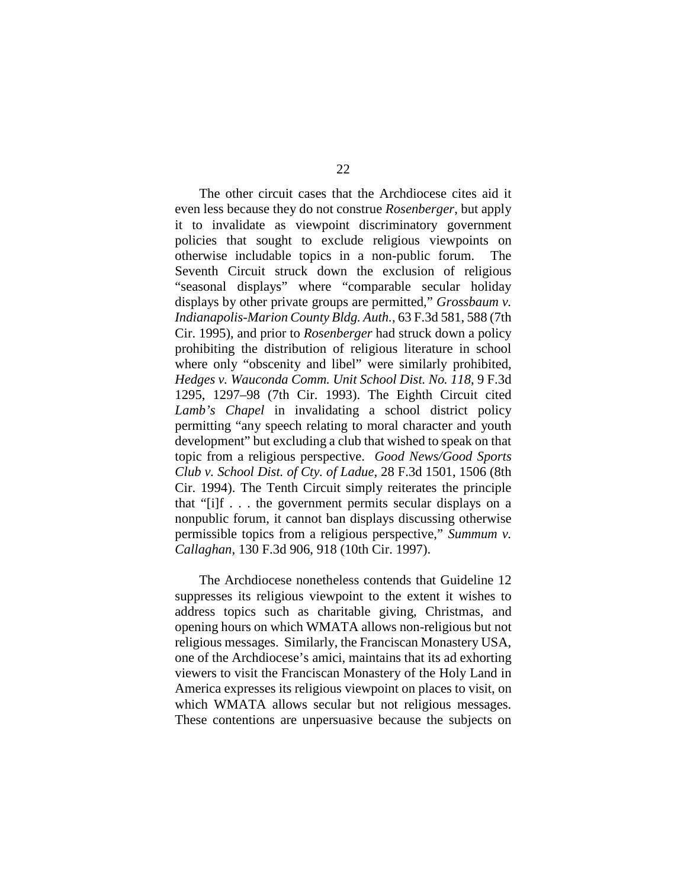The other circuit cases that the Archdiocese cites aid it even less because they do not construe *Rosenberger*, but apply it to invalidate as viewpoint discriminatory government policies that sought to exclude religious viewpoints on otherwise includable topics in a non-public forum. The Seventh Circuit struck down the exclusion of religious "seasonal displays" where "comparable secular holiday displays by other private groups are permitted," *Grossbaum v. Indianapolis-Marion County Bldg. Auth.*, 63 F.3d 581, 588 (7th Cir. 1995), and prior to *Rosenberger* had struck down a policy prohibiting the distribution of religious literature in school where only "obscenity and libel" were similarly prohibited, *Hedges v. Wauconda Comm. Unit School Dist. No. 118*, 9 F.3d 1295, 1297–98 (7th Cir. 1993). The Eighth Circuit cited *Lamb's Chapel* in invalidating a school district policy permitting "any speech relating to moral character and youth development" but excluding a club that wished to speak on that topic from a religious perspective. *Good News/Good Sports Club v. School Dist. of Cty. of Ladue*, 28 F.3d 1501, 1506 (8th Cir. 1994). The Tenth Circuit simply reiterates the principle that "[i]f . . . the government permits secular displays on a nonpublic forum, it cannot ban displays discussing otherwise permissible topics from a religious perspective," *Summum v. Callaghan*, 130 F.3d 906, 918 (10th Cir. 1997).

The Archdiocese nonetheless contends that Guideline 12 suppresses its religious viewpoint to the extent it wishes to address topics such as charitable giving, Christmas, and opening hours on which WMATA allows non-religious but not religious messages. Similarly, the Franciscan Monastery USA, one of the Archdiocese's amici, maintains that its ad exhorting viewers to visit the Franciscan Monastery of the Holy Land in America expresses its religious viewpoint on places to visit, on which WMATA allows secular but not religious messages. These contentions are unpersuasive because the subjects on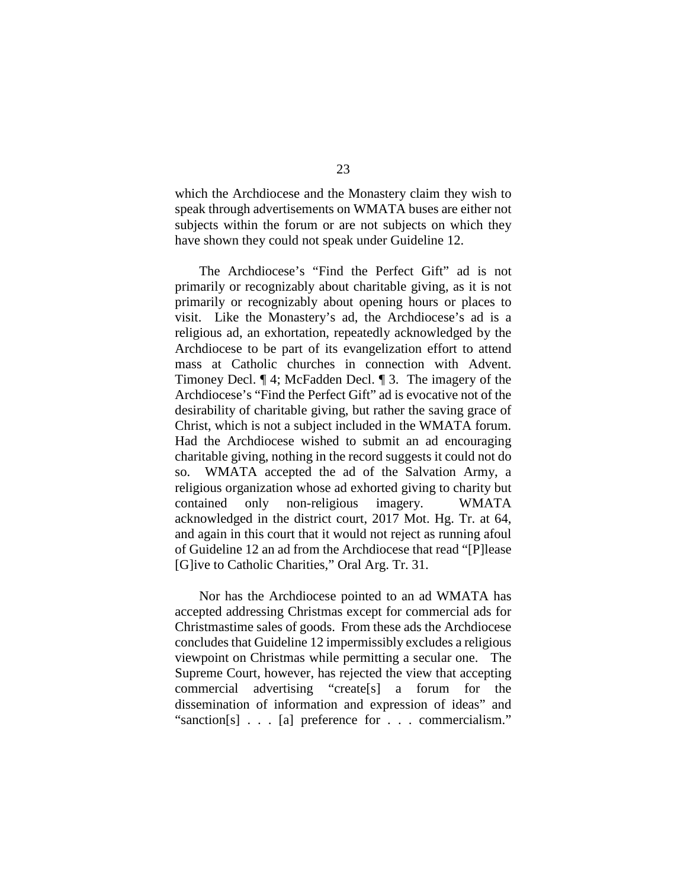which the Archdiocese and the Monastery claim they wish to speak through advertisements on WMATA buses are either not subjects within the forum or are not subjects on which they have shown they could not speak under Guideline 12.

The Archdiocese's "Find the Perfect Gift" ad is not primarily or recognizably about charitable giving, as it is not primarily or recognizably about opening hours or places to visit. Like the Monastery's ad, the Archdiocese's ad is a religious ad, an exhortation, repeatedly acknowledged by the Archdiocese to be part of its evangelization effort to attend mass at Catholic churches in connection with Advent. Timoney Decl. ¶ 4; McFadden Decl. ¶ 3. The imagery of the Archdiocese's "Find the Perfect Gift" ad is evocative not of the desirability of charitable giving, but rather the saving grace of Christ, which is not a subject included in the WMATA forum. Had the Archdiocese wished to submit an ad encouraging charitable giving, nothing in the record suggests it could not do so. WMATA accepted the ad of the Salvation Army, a religious organization whose ad exhorted giving to charity but contained only non-religious imagery. WMATA acknowledged in the district court, 2017 Mot. Hg. Tr. at 64, and again in this court that it would not reject as running afoul of Guideline 12 an ad from the Archdiocese that read "[P]lease [G]ive to Catholic Charities," Oral Arg. Tr. 31.

Nor has the Archdiocese pointed to an ad WMATA has accepted addressing Christmas except for commercial ads for Christmastime sales of goods. From these ads the Archdiocese concludes that Guideline 12 impermissibly excludes a religious viewpoint on Christmas while permitting a secular one. The Supreme Court, however, has rejected the view that accepting commercial advertising "create[s] a forum for the dissemination of information and expression of ideas" and "sanction[s] . . . [a] preference for . . . commercialism."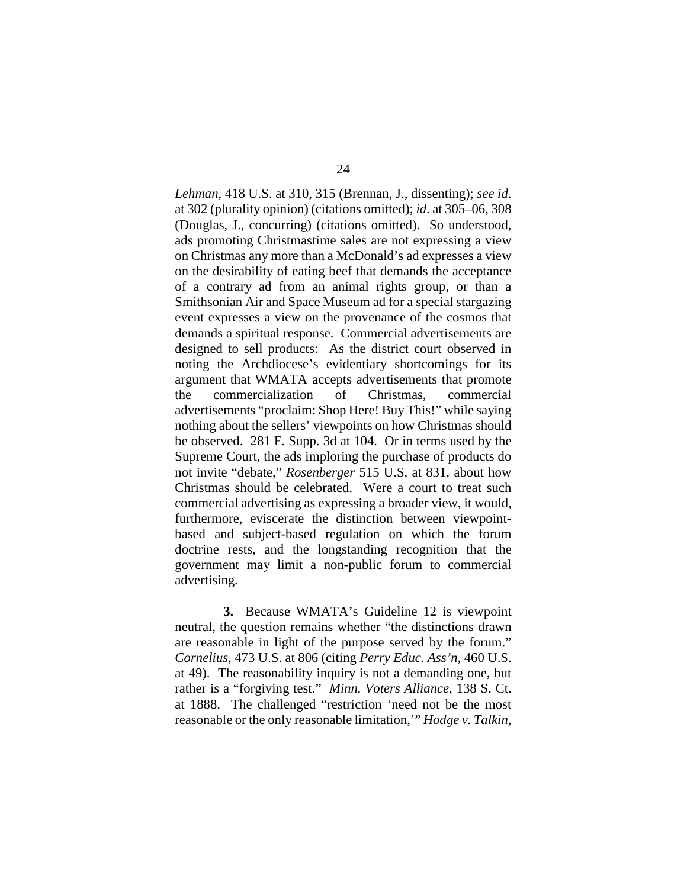*Lehman*, 418 U.S. at 310, 315 (Brennan, J., dissenting); *see id*. at 302 (plurality opinion) (citations omitted); *id*. at 305–06, 308 (Douglas, J., concurring) (citations omitted). So understood, ads promoting Christmastime sales are not expressing a view on Christmas any more than a McDonald's ad expresses a view on the desirability of eating beef that demands the acceptance of a contrary ad from an animal rights group, or than a Smithsonian Air and Space Museum ad for a special stargazing event expresses a view on the provenance of the cosmos that demands a spiritual response. Commercial advertisements are designed to sell products: As the district court observed in noting the Archdiocese's evidentiary shortcomings for its argument that WMATA accepts advertisements that promote the commercialization of Christmas, commercial advertisements "proclaim: Shop Here! Buy This!" while saying nothing about the sellers' viewpoints on how Christmas should be observed. 281 F. Supp. 3d at 104. Or in terms used by the Supreme Court, the ads imploring the purchase of products do not invite "debate," *Rosenberger* 515 U.S. at 831, about how Christmas should be celebrated. Were a court to treat such commercial advertising as expressing a broader view, it would, furthermore, eviscerate the distinction between viewpointbased and subject-based regulation on which the forum doctrine rests, and the longstanding recognition that the government may limit a non-public forum to commercial advertising.

**3.** Because WMATA's Guideline 12 is viewpoint neutral, the question remains whether "the distinctions drawn are reasonable in light of the purpose served by the forum." *Cornelius*, 473 U.S. at 806 (citing *Perry Educ. Ass'n*, 460 U.S. at 49). The reasonability inquiry is not a demanding one, but rather is a "forgiving test." *Minn. Voters Alliance*, 138 S. Ct. at 1888. The challenged "restriction 'need not be the most reasonable or the only reasonable limitation,'" *Hodge v. Talkin*,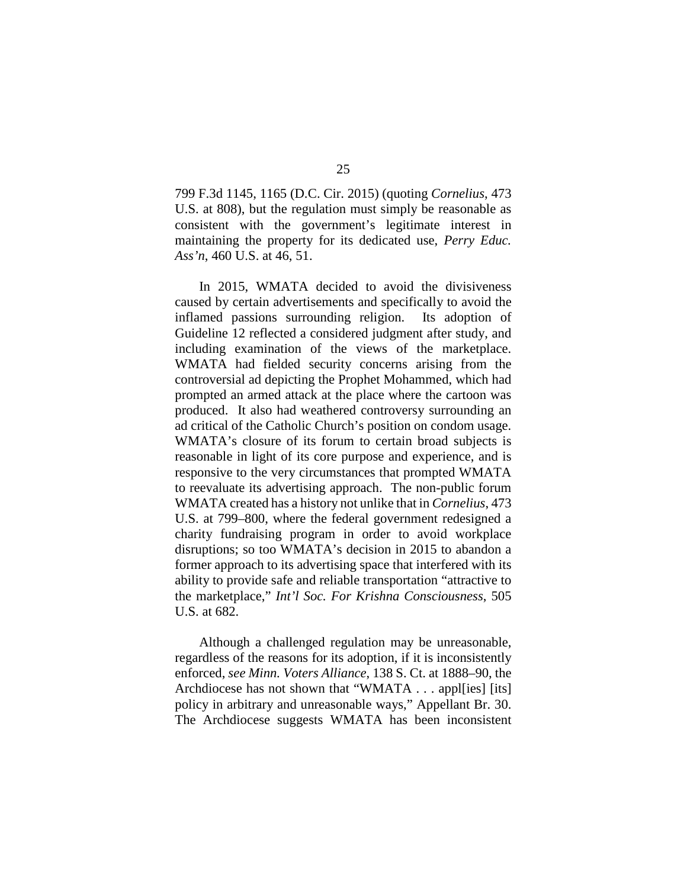799 F.3d 1145, 1165 (D.C. Cir. 2015) (quoting *Cornelius*, 473 U.S. at 808), but the regulation must simply be reasonable as consistent with the government's legitimate interest in maintaining the property for its dedicated use, *Perry Educ. Ass'n*, 460 U.S. at 46, 51.

In 2015, WMATA decided to avoid the divisiveness caused by certain advertisements and specifically to avoid the inflamed passions surrounding religion. Its adoption of Guideline 12 reflected a considered judgment after study, and including examination of the views of the marketplace. WMATA had fielded security concerns arising from the controversial ad depicting the Prophet Mohammed, which had prompted an armed attack at the place where the cartoon was produced. It also had weathered controversy surrounding an ad critical of the Catholic Church's position on condom usage. WMATA's closure of its forum to certain broad subjects is reasonable in light of its core purpose and experience, and is responsive to the very circumstances that prompted WMATA to reevaluate its advertising approach. The non-public forum WMATA created has a history not unlike that in *Cornelius*, 473 U.S. at 799–800, where the federal government redesigned a charity fundraising program in order to avoid workplace disruptions; so too WMATA's decision in 2015 to abandon a former approach to its advertising space that interfered with its ability to provide safe and reliable transportation "attractive to the marketplace," *Int'l Soc. For Krishna Consciousness*, 505 U.S. at 682.

Although a challenged regulation may be unreasonable, regardless of the reasons for its adoption, if it is inconsistently enforced, *see Minn. Voters Alliance*, 138 S. Ct. at 1888–90, the Archdiocese has not shown that "WMATA . . . apples [its] policy in arbitrary and unreasonable ways," Appellant Br. 30. The Archdiocese suggests WMATA has been inconsistent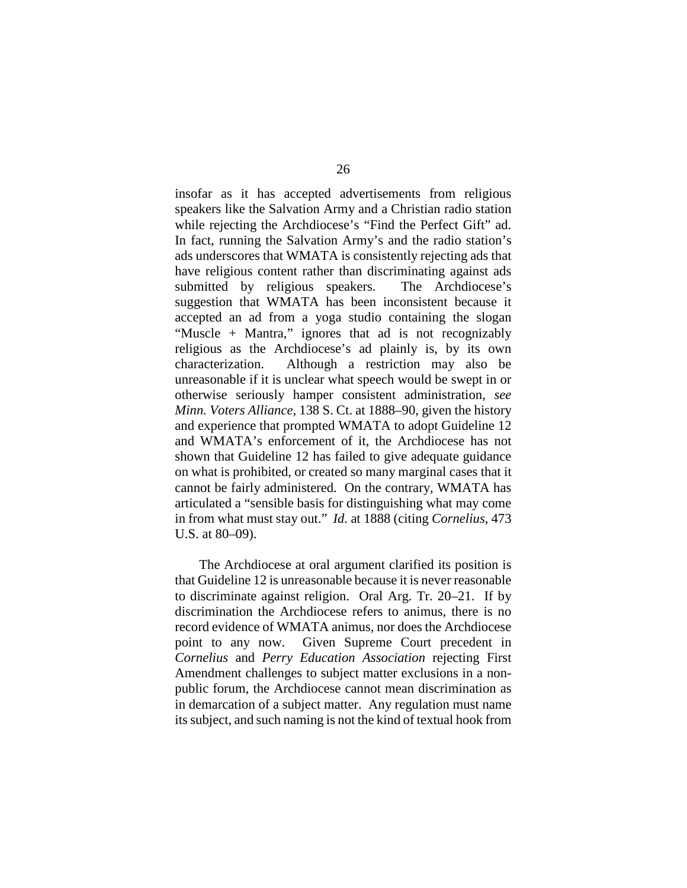insofar as it has accepted advertisements from religious speakers like the Salvation Army and a Christian radio station while rejecting the Archdiocese's "Find the Perfect Gift" ad. In fact, running the Salvation Army's and the radio station's ads underscores that WMATA is consistently rejecting ads that have religious content rather than discriminating against ads submitted by religious speakers. The Archdiocese's suggestion that WMATA has been inconsistent because it accepted an ad from a yoga studio containing the slogan "Muscle + Mantra," ignores that ad is not recognizably religious as the Archdiocese's ad plainly is, by its own characterization. Although a restriction may also be unreasonable if it is unclear what speech would be swept in or otherwise seriously hamper consistent administration, *see Minn. Voters Alliance*, 138 S. Ct. at 1888–90, given the history and experience that prompted WMATA to adopt Guideline 12 and WMATA's enforcement of it, the Archdiocese has not shown that Guideline 12 has failed to give adequate guidance on what is prohibited, or created so many marginal cases that it cannot be fairly administered. On the contrary, WMATA has articulated a "sensible basis for distinguishing what may come in from what must stay out." *Id.* at 1888 (citing *Cornelius*, 473 U.S. at 80–09).

The Archdiocese at oral argument clarified its position is that Guideline 12 is unreasonable because it is never reasonable to discriminate against religion. Oral Arg. Tr. 20–21. If by discrimination the Archdiocese refers to animus, there is no record evidence of WMATA animus, nor does the Archdiocese point to any now. Given Supreme Court precedent in *Cornelius* and *Perry Education Association* rejecting First Amendment challenges to subject matter exclusions in a nonpublic forum, the Archdiocese cannot mean discrimination as in demarcation of a subject matter. Any regulation must name its subject, and such naming is not the kind of textual hook from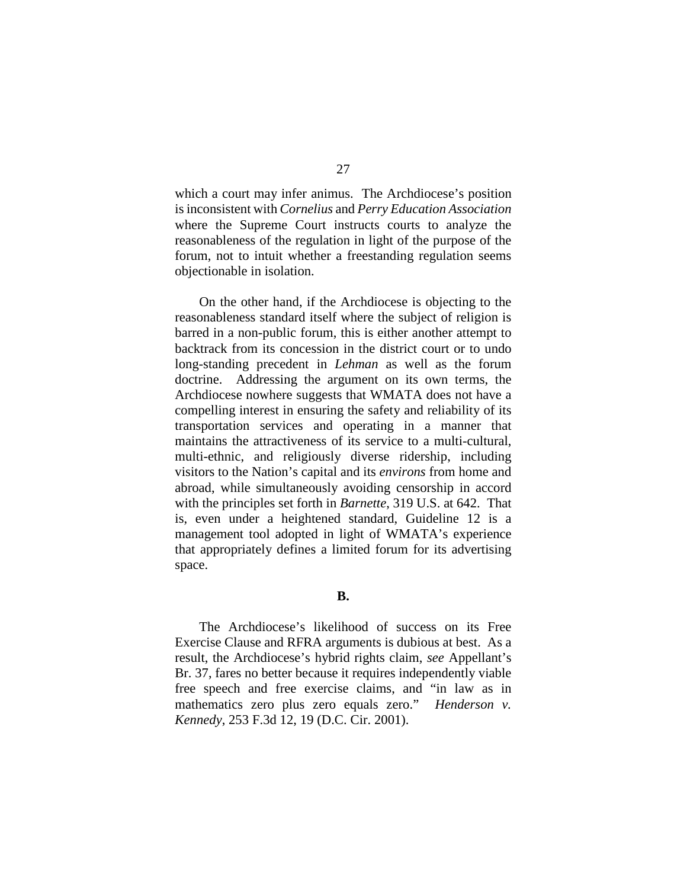which a court may infer animus. The Archdiocese's position isinconsistent with *Cornelius* and *Perry Education Association* where the Supreme Court instructs courts to analyze the reasonableness of the regulation in light of the purpose of the forum, not to intuit whether a freestanding regulation seems objectionable in isolation.

On the other hand, if the Archdiocese is objecting to the reasonableness standard itself where the subject of religion is barred in a non-public forum, this is either another attempt to backtrack from its concession in the district court or to undo long-standing precedent in *Lehman* as well as the forum doctrine. Addressing the argument on its own terms, the Archdiocese nowhere suggests that WMATA does not have a compelling interest in ensuring the safety and reliability of its transportation services and operating in a manner that maintains the attractiveness of its service to a multi-cultural, multi-ethnic, and religiously diverse ridership, including visitors to the Nation's capital and its *environs* from home and abroad, while simultaneously avoiding censorship in accord with the principles set forth in *Barnette*, 319 U.S. at 642. That is, even under a heightened standard, Guideline 12 is a management tool adopted in light of WMATA's experience that appropriately defines a limited forum for its advertising space.

## **B.**

The Archdiocese's likelihood of success on its Free Exercise Clause and RFRA arguments is dubious at best. As a result, the Archdiocese's hybrid rights claim, *see* Appellant's Br. 37, fares no better because it requires independently viable free speech and free exercise claims, and "in law as in mathematics zero plus zero equals zero." *Henderson v. Kennedy*, 253 F.3d 12, 19 (D.C. Cir. 2001).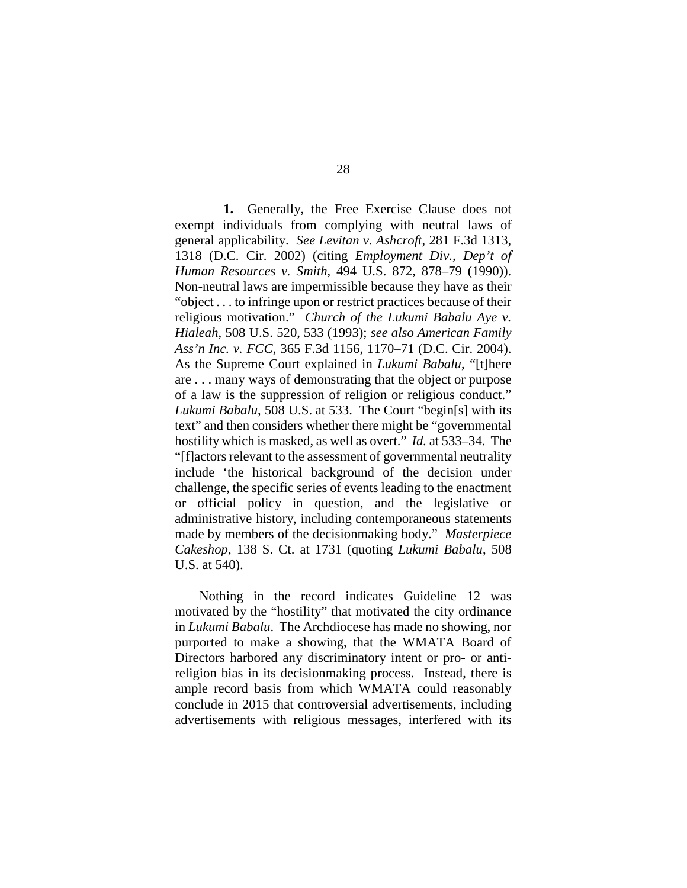**1.** Generally, the Free Exercise Clause does not exempt individuals from complying with neutral laws of general applicability. *See Levitan v. Ashcroft*, 281 F.3d 1313, 1318 (D.C. Cir. 2002) (citing *Employment Div., Dep't of Human Resources v. Smith*, 494 U.S. 872, 878–79 (1990)). Non-neutral laws are impermissible because they have as their "object . . . to infringe upon or restrict practices because of their religious motivation." *Church of the Lukumi Babalu Aye v. Hialeah*, 508 U.S. 520, 533 (1993); *see also American Family Ass'n Inc. v. FCC*, 365 F.3d 1156, 1170–71 (D.C. Cir. 2004). As the Supreme Court explained in *Lukumi Babalu*, "[t]here are . . . many ways of demonstrating that the object or purpose of a law is the suppression of religion or religious conduct." *Lukumi Babalu*, 508 U.S. at 533. The Court "begin[s] with its text" and then considers whether there might be "governmental hostility which is masked, as well as overt." *Id.* at 533–34. The "[f]actors relevant to the assessment of governmental neutrality include 'the historical background of the decision under challenge, the specific series of events leading to the enactment or official policy in question, and the legislative or administrative history, including contemporaneous statements made by members of the decisionmaking body." *Masterpiece Cakeshop*, 138 S. Ct. at 1731 (quoting *Lukumi Babalu*, 508 U.S. at 540).

Nothing in the record indicates Guideline 12 was motivated by the "hostility" that motivated the city ordinance in *Lukumi Babalu*. The Archdiocese has made no showing, nor purported to make a showing, that the WMATA Board of Directors harbored any discriminatory intent or pro- or antireligion bias in its decisionmaking process. Instead, there is ample record basis from which WMATA could reasonably conclude in 2015 that controversial advertisements, including advertisements with religious messages, interfered with its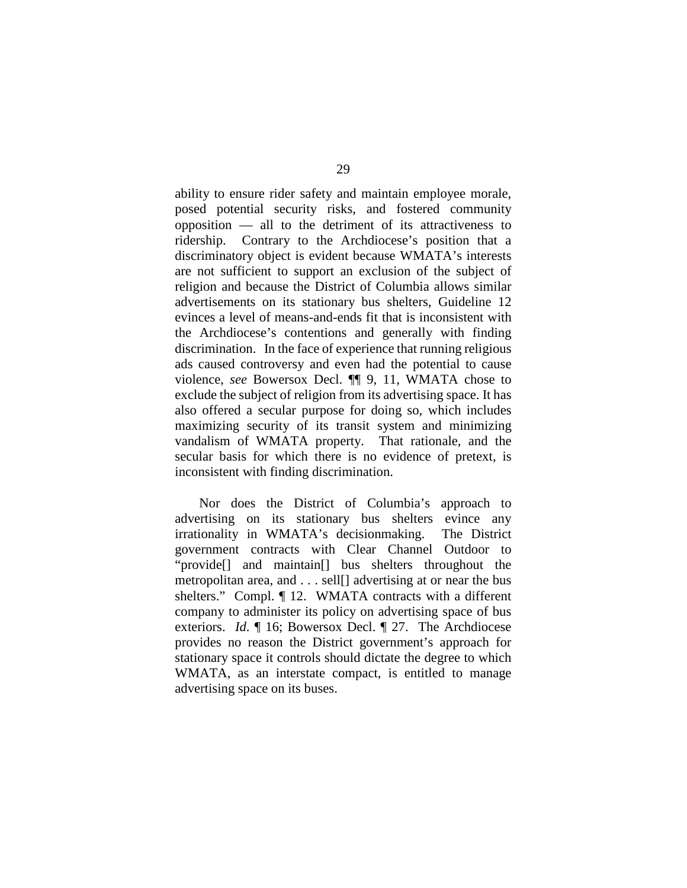ability to ensure rider safety and maintain employee morale, posed potential security risks, and fostered community opposition — all to the detriment of its attractiveness to ridership. Contrary to the Archdiocese's position that a discriminatory object is evident because WMATA's interests are not sufficient to support an exclusion of the subject of religion and because the District of Columbia allows similar advertisements on its stationary bus shelters, Guideline 12 evinces a level of means-and-ends fit that is inconsistent with the Archdiocese's contentions and generally with finding discrimination. In the face of experience that running religious ads caused controversy and even had the potential to cause violence, *see* Bowersox Decl. ¶¶ 9, 11, WMATA chose to exclude the subject of religion from its advertising space. It has also offered a secular purpose for doing so, which includes maximizing security of its transit system and minimizing vandalism of WMATA property. That rationale, and the secular basis for which there is no evidence of pretext, is inconsistent with finding discrimination.

Nor does the District of Columbia's approach to advertising on its stationary bus shelters evince any irrationality in WMATA's decisionmaking. The District government contracts with Clear Channel Outdoor to "provide[] and maintain[] bus shelters throughout the metropolitan area, and . . . sell[] advertising at or near the bus shelters." Compl. ¶ 12. WMATA contracts with a different company to administer its policy on advertising space of bus exteriors. *Id*. ¶ 16; Bowersox Decl. ¶ 27. The Archdiocese provides no reason the District government's approach for stationary space it controls should dictate the degree to which WMATA, as an interstate compact, is entitled to manage advertising space on its buses.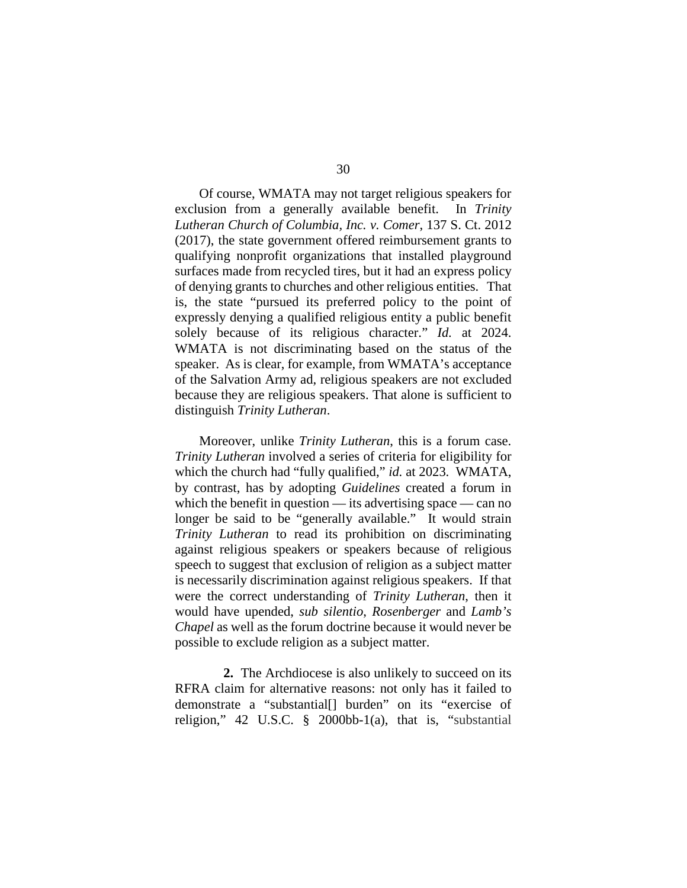Of course, WMATA may not target religious speakers for exclusion from a generally available benefit. In *Trinity Lutheran Church of Columbia, Inc. v. Comer*, 137 S. Ct. 2012 (2017), the state government offered reimbursement grants to qualifying nonprofit organizations that installed playground surfaces made from recycled tires, but it had an express policy of denying grants to churches and other religious entities. That is, the state "pursued its preferred policy to the point of expressly denying a qualified religious entity a public benefit solely because of its religious character." *Id.* at 2024. WMATA is not discriminating based on the status of the speaker. As is clear, for example, from WMATA's acceptance of the Salvation Army ad, religious speakers are not excluded because they are religious speakers. That alone is sufficient to distinguish *Trinity Lutheran*.

Moreover, unlike *Trinity Lutheran*, this is a forum case. *Trinity Lutheran* involved a series of criteria for eligibility for which the church had "fully qualified," *id.* at 2023. WMATA, by contrast, has by adopting *Guidelines* created a forum in which the benefit in question — its advertising space — can no longer be said to be "generally available." It would strain *Trinity Lutheran* to read its prohibition on discriminating against religious speakers or speakers because of religious speech to suggest that exclusion of religion as a subject matter is necessarily discrimination against religious speakers. If that were the correct understanding of *Trinity Lutheran*, then it would have upended, *sub silentio*, *Rosenberger* and *Lamb's Chapel* as well as the forum doctrine because it would never be possible to exclude religion as a subject matter.

**2.** The Archdiocese is also unlikely to succeed on its RFRA claim for alternative reasons: not only has it failed to demonstrate a "substantial[] burden" on its "exercise of religion," 42 U.S.C. § 2000bb-1(a), that is, "substantial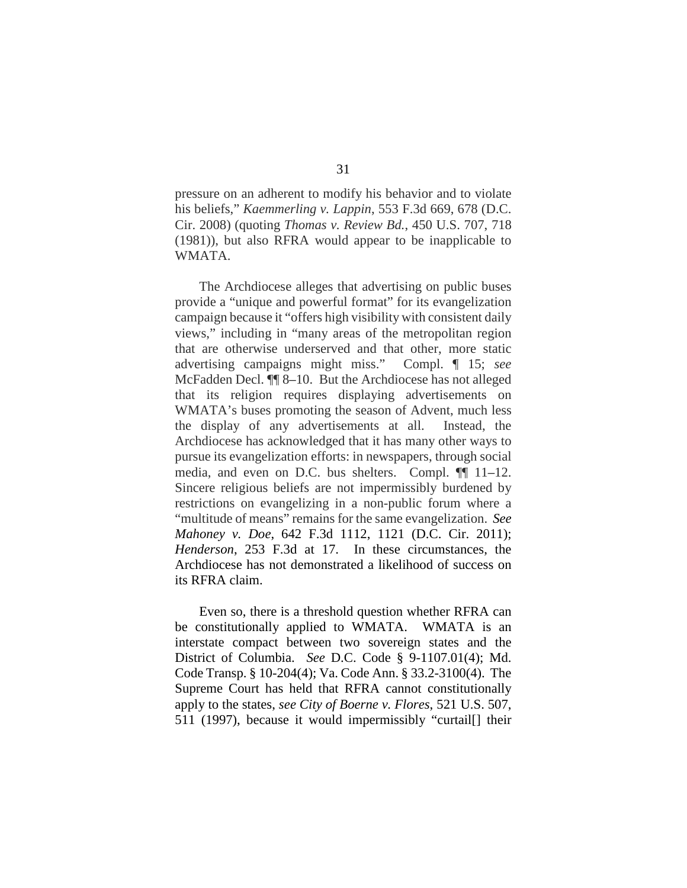pressure on an adherent to modify his behavior and to violate his beliefs," *Kaemmerling v. Lappin*, 553 F.3d 669, 678 (D.C. Cir. 2008) (quoting *Thomas v. Review Bd.*, 450 U.S. 707, 718 (1981)), but also RFRA would appear to be inapplicable to WMATA.

The Archdiocese alleges that advertising on public buses provide a "unique and powerful format" for its evangelization campaign because it "offers high visibility with consistent daily views," including in "many areas of the metropolitan region that are otherwise underserved and that other, more static advertising campaigns might miss." Compl. ¶ 15; *see*  McFadden Decl. ¶¶ 8–10. But the Archdiocese has not alleged that its religion requires displaying advertisements on WMATA's buses promoting the season of Advent, much less the display of any advertisements at all. Instead, the Archdiocese has acknowledged that it has many other ways to pursue its evangelization efforts: in newspapers, through social media, and even on D.C. bus shelters. Compl. ¶¶ 11–12. Sincere religious beliefs are not impermissibly burdened by restrictions on evangelizing in a non-public forum where a "multitude of means" remains for the same evangelization. *See Mahoney v. Doe*, 642 F.3d 1112, 1121 (D.C. Cir. 2011); *Henderson*, 253 F.3d at 17. In these circumstances, the Archdiocese has not demonstrated a likelihood of success on its RFRA claim.

Even so, there is a threshold question whether RFRA can be constitutionally applied to WMATA. WMATA is an interstate compact between two sovereign states and the District of Columbia. *See* D.C. Code § 9-1107.01(4); Md. Code Transp. § 10-204(4); Va. Code Ann. § 33.2-3100(4). The Supreme Court has held that RFRA cannot constitutionally apply to the states, *see City of Boerne v. Flores*, 521 U.S. 507, 511 (1997), because it would impermissibly "curtail[] their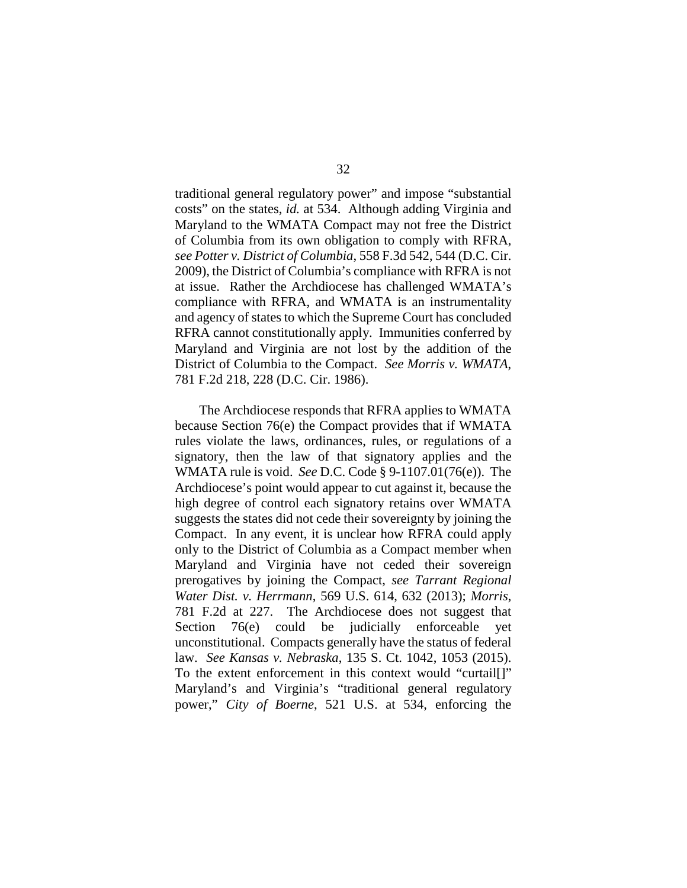traditional general regulatory power" and impose "substantial costs" on the states, *id.* at 534. Although adding Virginia and Maryland to the WMATA Compact may not free the District of Columbia from its own obligation to comply with RFRA, *see Potter v. District of Columbia*, 558 F.3d 542, 544 (D.C. Cir. 2009), the District of Columbia's compliance with RFRA is not at issue. Rather the Archdiocese has challenged WMATA's compliance with RFRA, and WMATA is an instrumentality and agency of states to which the Supreme Court has concluded RFRA cannot constitutionally apply. Immunities conferred by Maryland and Virginia are not lost by the addition of the District of Columbia to the Compact. *See Morris v. WMATA*, 781 F.2d 218, 228 (D.C. Cir. 1986).

The Archdiocese responds that RFRA applies to WMATA because Section 76(e) the Compact provides that if WMATA rules violate the laws, ordinances, rules, or regulations of a signatory, then the law of that signatory applies and the WMATA rule is void. *See* D.C. Code § 9-1107.01(76(e)). The Archdiocese's point would appear to cut against it, because the high degree of control each signatory retains over WMATA suggests the states did not cede their sovereignty by joining the Compact. In any event, it is unclear how RFRA could apply only to the District of Columbia as a Compact member when Maryland and Virginia have not ceded their sovereign prerogatives by joining the Compact, *see Tarrant Regional Water Dist. v. Herrmann*, 569 U.S. 614, 632 (2013); *Morris*, 781 F.2d at 227. The Archdiocese does not suggest that Section 76(e) could be judicially enforceable yet unconstitutional. Compacts generally have the status of federal law. *See Kansas v. Nebraska*, 135 S. Ct. 1042, 1053 (2015). To the extent enforcement in this context would "curtail[]" Maryland's and Virginia's "traditional general regulatory power," *City of Boerne*, 521 U.S. at 534, enforcing the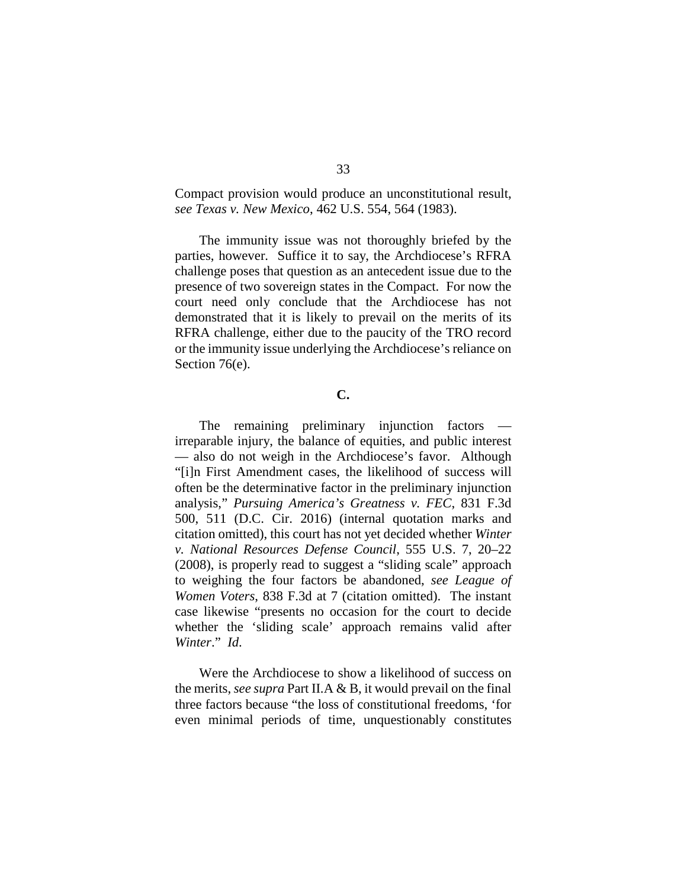Compact provision would produce an unconstitutional result, *see Texas v. New Mexico*, 462 U.S. 554, 564 (1983).

The immunity issue was not thoroughly briefed by the parties, however. Suffice it to say, the Archdiocese's RFRA challenge poses that question as an antecedent issue due to the presence of two sovereign states in the Compact. For now the court need only conclude that the Archdiocese has not demonstrated that it is likely to prevail on the merits of its RFRA challenge, either due to the paucity of the TRO record or the immunity issue underlying the Archdiocese's reliance on Section 76(e).

## **C.**

The remaining preliminary injunction factors irreparable injury, the balance of equities, and public interest — also do not weigh in the Archdiocese's favor. Although "[i]n First Amendment cases, the likelihood of success will often be the determinative factor in the preliminary injunction analysis," *Pursuing America's Greatness v. FEC*, 831 F.3d 500, 511 (D.C. Cir. 2016) (internal quotation marks and citation omitted), this court has not yet decided whether *Winter v. National Resources Defense Council*, 555 U.S. 7, 20–22 (2008), is properly read to suggest a "sliding scale" approach to weighing the four factors be abandoned, *see League of Women Voters*, 838 F.3d at 7 (citation omitted). The instant case likewise "presents no occasion for the court to decide whether the 'sliding scale' approach remains valid after *Winter*." *Id*.

Were the Archdiocese to show a likelihood of success on the merits, *see supra* Part II.A & B, it would prevail on the final three factors because "the loss of constitutional freedoms, 'for even minimal periods of time, unquestionably constitutes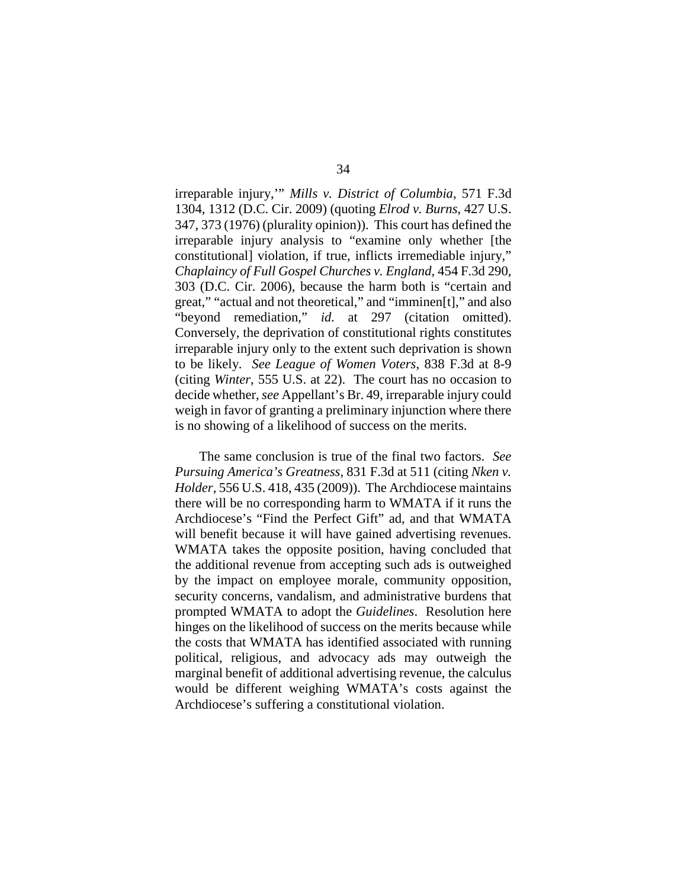irreparable injury,'" *Mills v. District of Columbia*, 571 F.3d 1304, 1312 (D.C. Cir. 2009) (quoting *Elrod v. Burns*, 427 U.S. 347, 373 (1976) (plurality opinion)). This court has defined the irreparable injury analysis to "examine only whether [the constitutional] violation, if true, inflicts irremediable injury," *Chaplaincy of Full Gospel Churches v. England*, 454 F.3d 290, 303 (D.C. Cir. 2006), because the harm both is "certain and great," "actual and not theoretical," and "imminen[t]," and also "beyond remediation," *id.* at 297 (citation omitted). Conversely, the deprivation of constitutional rights constitutes irreparable injury only to the extent such deprivation is shown to be likely. *See League of Women Voters*, 838 F.3d at 8-9 (citing *Winter*, 555 U.S. at 22). The court has no occasion to decide whether, *see* Appellant's Br. 49, irreparable injury could weigh in favor of granting a preliminary injunction where there is no showing of a likelihood of success on the merits.

The same conclusion is true of the final two factors. *See Pursuing America's Greatness*, 831 F.3d at 511 (citing *Nken v. Holder*, 556 U.S. 418, 435 (2009)). The Archdiocese maintains there will be no corresponding harm to WMATA if it runs the Archdiocese's "Find the Perfect Gift" ad, and that WMATA will benefit because it will have gained advertising revenues. WMATA takes the opposite position, having concluded that the additional revenue from accepting such ads is outweighed by the impact on employee morale, community opposition, security concerns, vandalism, and administrative burdens that prompted WMATA to adopt the *Guidelines*. Resolution here hinges on the likelihood of success on the merits because while the costs that WMATA has identified associated with running political, religious, and advocacy ads may outweigh the marginal benefit of additional advertising revenue, the calculus would be different weighing WMATA's costs against the Archdiocese's suffering a constitutional violation.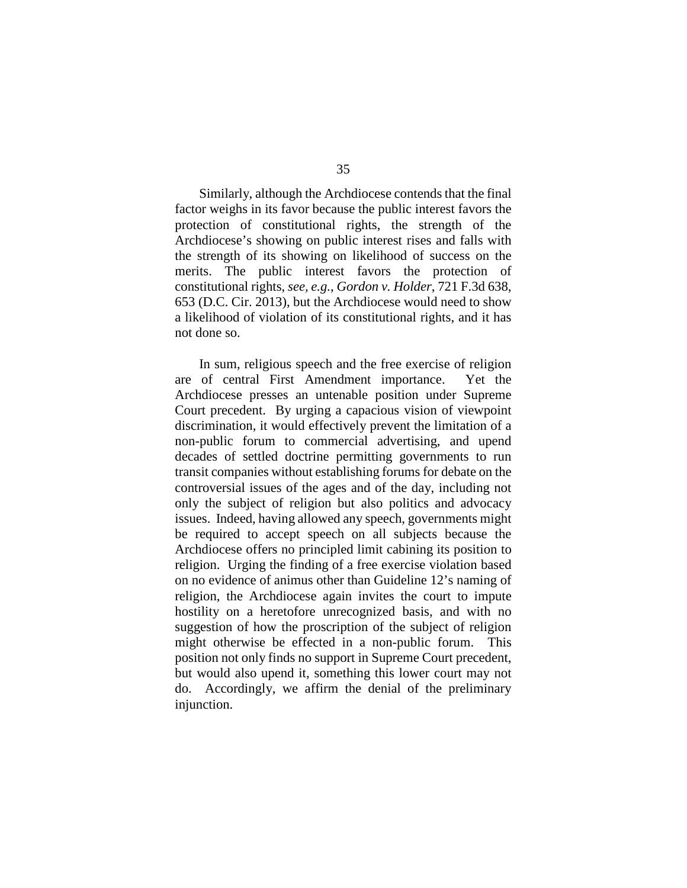Similarly, although the Archdiocese contends that the final factor weighs in its favor because the public interest favors the protection of constitutional rights, the strength of the Archdiocese's showing on public interest rises and falls with the strength of its showing on likelihood of success on the merits. The public interest favors the protection of constitutional rights, *see, e.g.*, *Gordon v. Holder*, 721 F.3d 638, 653 (D.C. Cir. 2013), but the Archdiocese would need to show a likelihood of violation of its constitutional rights, and it has not done so.

In sum, religious speech and the free exercise of religion are of central First Amendment importance. Yet the Archdiocese presses an untenable position under Supreme Court precedent. By urging a capacious vision of viewpoint discrimination, it would effectively prevent the limitation of a non-public forum to commercial advertising, and upend decades of settled doctrine permitting governments to run transit companies without establishing forums for debate on the controversial issues of the ages and of the day, including not only the subject of religion but also politics and advocacy issues. Indeed, having allowed any speech, governments might be required to accept speech on all subjects because the Archdiocese offers no principled limit cabining its position to religion. Urging the finding of a free exercise violation based on no evidence of animus other than Guideline 12's naming of religion, the Archdiocese again invites the court to impute hostility on a heretofore unrecognized basis, and with no suggestion of how the proscription of the subject of religion might otherwise be effected in a non-public forum. This position not only finds no support in Supreme Court precedent, but would also upend it, something this lower court may not do. Accordingly, we affirm the denial of the preliminary injunction.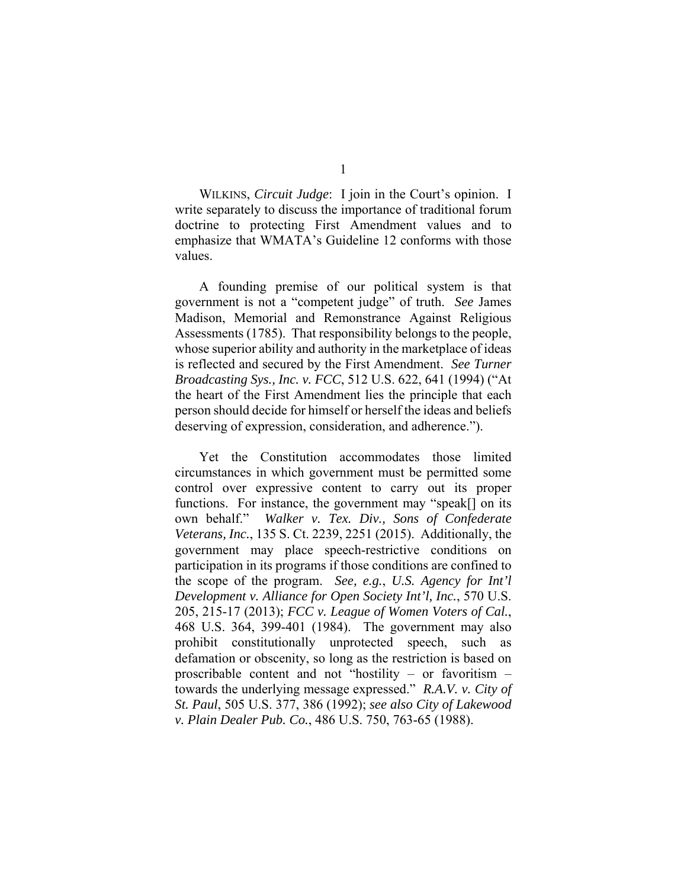WILKINS, *Circuit Judge*: I join in the Court's opinion. I write separately to discuss the importance of traditional forum doctrine to protecting First Amendment values and to emphasize that WMATA's Guideline 12 conforms with those values.

 A founding premise of our political system is that government is not a "competent judge" of truth. *See* James Madison, Memorial and Remonstrance Against Religious Assessments (1785). That responsibility belongs to the people, whose superior ability and authority in the marketplace of ideas is reflected and secured by the First Amendment. *See Turner Broadcasting Sys., Inc. v. FCC*, 512 U.S. 622, 641 (1994) ("At the heart of the First Amendment lies the principle that each person should decide for himself or herself the ideas and beliefs deserving of expression, consideration, and adherence.").

Yet the Constitution accommodates those limited circumstances in which government must be permitted some control over expressive content to carry out its proper functions. For instance, the government may "speak[] on its own behalf." *Walker v. Tex. Div., Sons of Confederate Veterans, Inc.*, 135 S. Ct. 2239, 2251 (2015). Additionally, the government may place speech-restrictive conditions on participation in its programs if those conditions are confined to the scope of the program. *See, e.g.*, *U.S. Agency for Int'l Development v. Alliance for Open Society Int'l, Inc.*, 570 U.S. 205, 215-17 (2013); *FCC v. League of Women Voters of Cal.*, 468 U.S. 364, 399-401 (1984). The government may also prohibit constitutionally unprotected speech, such as defamation or obscenity, so long as the restriction is based on proscribable content and not "hostility – or favoritism – towards the underlying message expressed." *R.A.V. v. City of St. Paul*, 505 U.S. 377, 386 (1992); *see also City of Lakewood v. Plain Dealer Pub. Co.*, 486 U.S. 750, 763-65 (1988).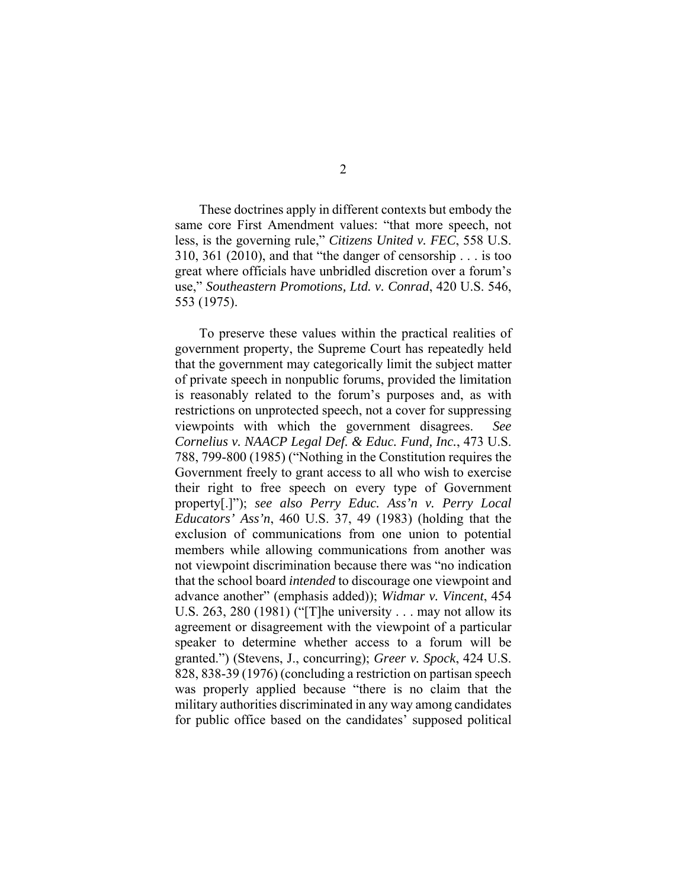These doctrines apply in different contexts but embody the same core First Amendment values: "that more speech, not less, is the governing rule," *Citizens United v. FEC*, 558 U.S. 310, 361 (2010), and that "the danger of censorship . . . is too great where officials have unbridled discretion over a forum's use," *Southeastern Promotions, Ltd. v. Conrad*, 420 U.S. 546, 553 (1975).

To preserve these values within the practical realities of government property, the Supreme Court has repeatedly held that the government may categorically limit the subject matter of private speech in nonpublic forums, provided the limitation is reasonably related to the forum's purposes and, as with restrictions on unprotected speech, not a cover for suppressing viewpoints with which the government disagrees. *See Cornelius v. NAACP Legal Def. & Educ. Fund, Inc.*, 473 U.S. 788, 799-800 (1985) ("Nothing in the Constitution requires the Government freely to grant access to all who wish to exercise their right to free speech on every type of Government property[.]"); *see also Perry Educ. Ass'n v. Perry Local Educators' Ass'n*, 460 U.S. 37, 49 (1983) (holding that the exclusion of communications from one union to potential members while allowing communications from another was not viewpoint discrimination because there was "no indication that the school board *intended* to discourage one viewpoint and advance another" (emphasis added)); *Widmar v. Vincent*, 454 U.S. 263, 280 (1981) ("[T]he university . . . may not allow its agreement or disagreement with the viewpoint of a particular speaker to determine whether access to a forum will be granted.") (Stevens, J., concurring); *Greer v. Spock*, 424 U.S. 828, 838-39 (1976) (concluding a restriction on partisan speech was properly applied because "there is no claim that the military authorities discriminated in any way among candidates for public office based on the candidates' supposed political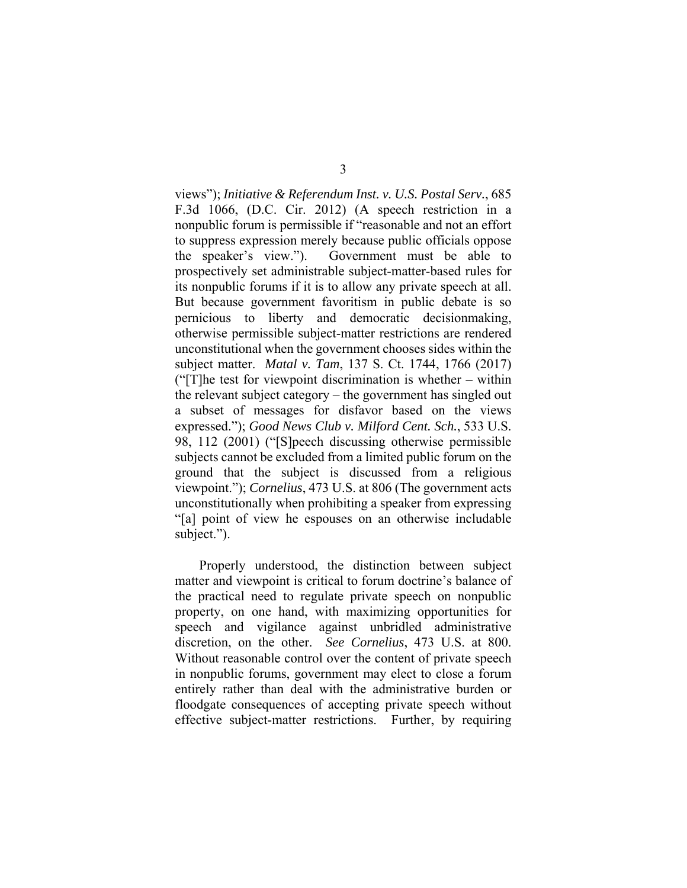views"); *Initiative & Referendum Inst. v. U.S. Postal Serv.*, 685 F.3d 1066, (D.C. Cir. 2012) (A speech restriction in a nonpublic forum is permissible if "reasonable and not an effort to suppress expression merely because public officials oppose the speaker's view."). Government must be able to prospectively set administrable subject-matter-based rules for its nonpublic forums if it is to allow any private speech at all. But because government favoritism in public debate is so pernicious to liberty and democratic decisionmaking, otherwise permissible subject-matter restrictions are rendered unconstitutional when the government chooses sides within the subject matter. *Matal v. Tam*, 137 S. Ct. 1744, 1766 (2017) ("[T]he test for viewpoint discrimination is whether – within the relevant subject category – the government has singled out a subset of messages for disfavor based on the views expressed."); *Good News Club v. Milford Cent. Sch.*, 533 U.S. 98, 112 (2001) ("[S]peech discussing otherwise permissible subjects cannot be excluded from a limited public forum on the ground that the subject is discussed from a religious viewpoint."); *Cornelius*, 473 U.S. at 806 (The government acts unconstitutionally when prohibiting a speaker from expressing "[a] point of view he espouses on an otherwise includable subject.").

Properly understood, the distinction between subject matter and viewpoint is critical to forum doctrine's balance of the practical need to regulate private speech on nonpublic property, on one hand, with maximizing opportunities for speech and vigilance against unbridled administrative discretion, on the other. *See Cornelius*, 473 U.S. at 800. Without reasonable control over the content of private speech in nonpublic forums, government may elect to close a forum entirely rather than deal with the administrative burden or floodgate consequences of accepting private speech without effective subject-matter restrictions. Further, by requiring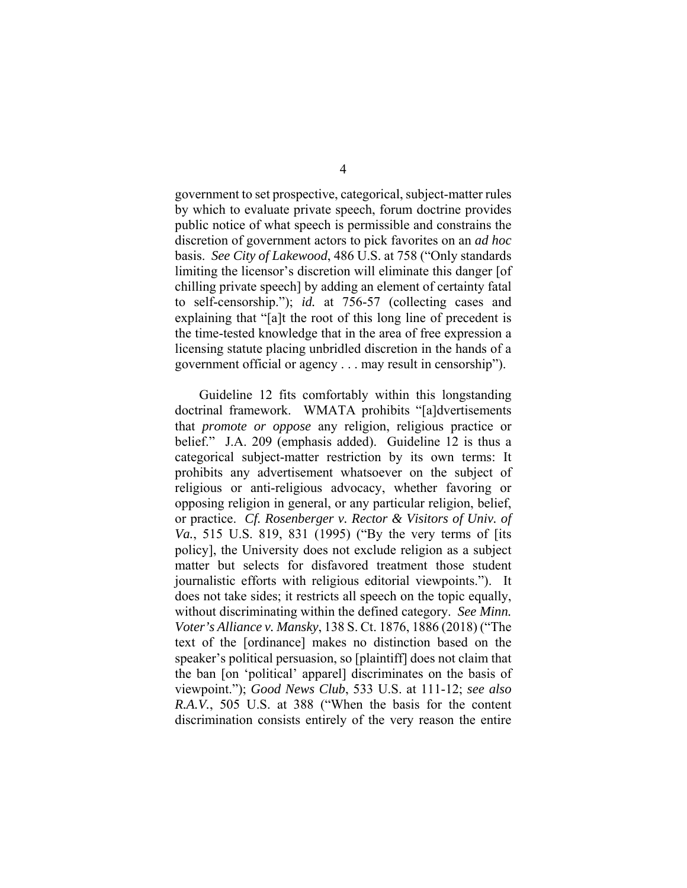government to set prospective, categorical, subject-matter rules by which to evaluate private speech, forum doctrine provides public notice of what speech is permissible and constrains the discretion of government actors to pick favorites on an *ad hoc* basis. *See City of Lakewood*, 486 U.S. at 758 ("Only standards limiting the licensor's discretion will eliminate this danger [of chilling private speech] by adding an element of certainty fatal to self-censorship."); *id.* at 756-57 (collecting cases and explaining that "[a]t the root of this long line of precedent is the time-tested knowledge that in the area of free expression a licensing statute placing unbridled discretion in the hands of a government official or agency . . . may result in censorship").

Guideline 12 fits comfortably within this longstanding doctrinal framework. WMATA prohibits "[a]dvertisements that *promote or oppose* any religion, religious practice or belief." J.A. 209 (emphasis added). Guideline 12 is thus a categorical subject-matter restriction by its own terms: It prohibits any advertisement whatsoever on the subject of religious or anti-religious advocacy, whether favoring or opposing religion in general, or any particular religion, belief, or practice. *Cf. Rosenberger v. Rector & Visitors of Univ. of Va.*, 515 U.S. 819, 831 (1995) ("By the very terms of [its policy], the University does not exclude religion as a subject matter but selects for disfavored treatment those student journalistic efforts with religious editorial viewpoints."). It does not take sides; it restricts all speech on the topic equally, without discriminating within the defined category. *See Minn. Voter's Alliance v. Mansky*, 138 S. Ct. 1876, 1886 (2018) ("The text of the [ordinance] makes no distinction based on the speaker's political persuasion, so [plaintiff] does not claim that the ban [on 'political' apparel] discriminates on the basis of viewpoint."); *Good News Club*, 533 U.S. at 111-12; *see also R.A.V.*, 505 U.S. at 388 ("When the basis for the content discrimination consists entirely of the very reason the entire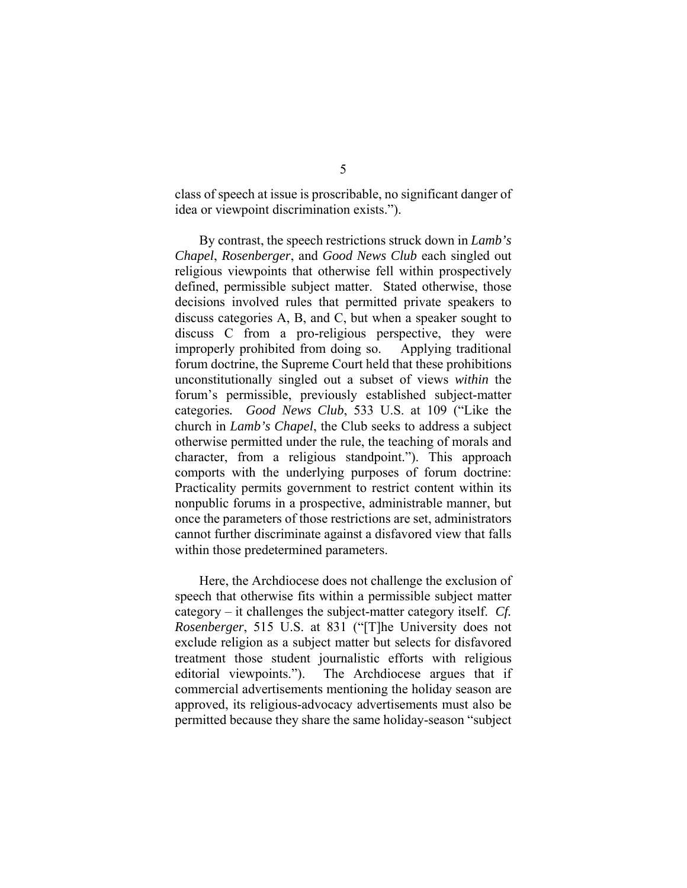class of speech at issue is proscribable, no significant danger of idea or viewpoint discrimination exists.").

By contrast, the speech restrictions struck down in *Lamb's Chapel*, *Rosenberger*, and *Good News Club* each singled out religious viewpoints that otherwise fell within prospectively defined, permissible subject matter. Stated otherwise, those decisions involved rules that permitted private speakers to discuss categories A, B, and C, but when a speaker sought to discuss C from a pro-religious perspective, they were improperly prohibited from doing so. Applying traditional forum doctrine, the Supreme Court held that these prohibitions unconstitutionally singled out a subset of views *within* the forum's permissible, previously established subject-matter categories*. Good News Club*, 533 U.S. at 109 ("Like the church in *Lamb's Chapel*, the Club seeks to address a subject otherwise permitted under the rule, the teaching of morals and character, from a religious standpoint."). This approach comports with the underlying purposes of forum doctrine: Practicality permits government to restrict content within its nonpublic forums in a prospective, administrable manner, but once the parameters of those restrictions are set, administrators cannot further discriminate against a disfavored view that falls within those predetermined parameters.

Here, the Archdiocese does not challenge the exclusion of speech that otherwise fits within a permissible subject matter category – it challenges the subject-matter category itself. *Cf. Rosenberger*, 515 U.S. at 831 ("[T]he University does not exclude religion as a subject matter but selects for disfavored treatment those student journalistic efforts with religious editorial viewpoints."). The Archdiocese argues that if commercial advertisements mentioning the holiday season are approved, its religious-advocacy advertisements must also be permitted because they share the same holiday-season "subject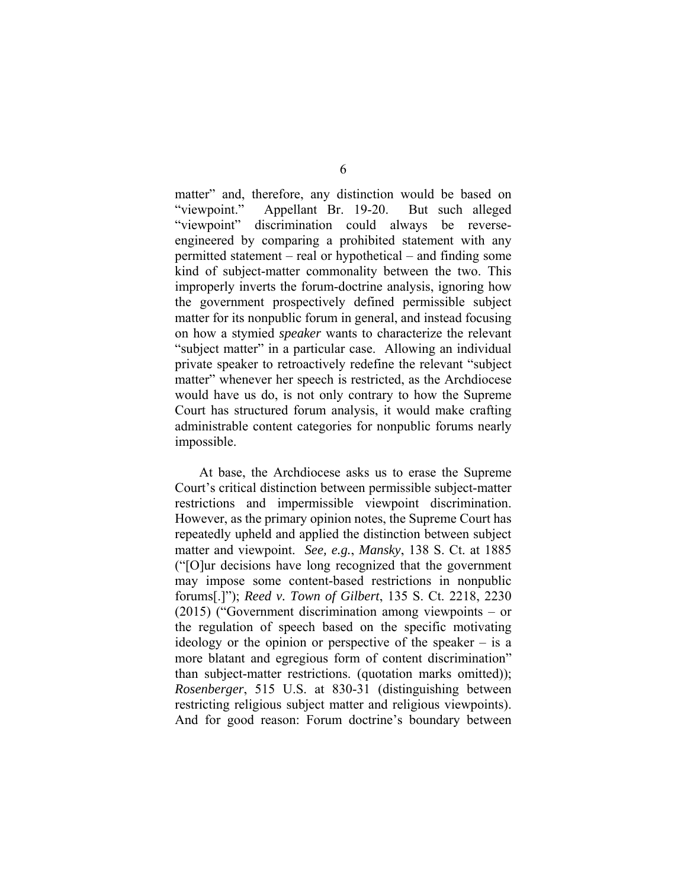matter" and, therefore, any distinction would be based on "viewpoint." Appellant Br. 19-20. But such alleged "viewpoint" discrimination could always be reverseengineered by comparing a prohibited statement with any permitted statement – real or hypothetical – and finding some kind of subject-matter commonality between the two. This improperly inverts the forum-doctrine analysis, ignoring how the government prospectively defined permissible subject matter for its nonpublic forum in general, and instead focusing on how a stymied *speaker* wants to characterize the relevant "subject matter" in a particular case. Allowing an individual private speaker to retroactively redefine the relevant "subject matter" whenever her speech is restricted, as the Archdiocese would have us do, is not only contrary to how the Supreme Court has structured forum analysis, it would make crafting administrable content categories for nonpublic forums nearly impossible.

At base, the Archdiocese asks us to erase the Supreme Court's critical distinction between permissible subject-matter restrictions and impermissible viewpoint discrimination. However, as the primary opinion notes, the Supreme Court has repeatedly upheld and applied the distinction between subject matter and viewpoint. *See, e.g.*, *Mansky*, 138 S. Ct. at 1885 ("[O]ur decisions have long recognized that the government may impose some content-based restrictions in nonpublic forums[.]"); *Reed v. Town of Gilbert*, 135 S. Ct. 2218, 2230 (2015) ("Government discrimination among viewpoints – or the regulation of speech based on the specific motivating ideology or the opinion or perspective of the speaker  $-$  is a more blatant and egregious form of content discrimination" than subject-matter restrictions. (quotation marks omitted)); *Rosenberger*, 515 U.S. at 830-31 (distinguishing between restricting religious subject matter and religious viewpoints). And for good reason: Forum doctrine's boundary between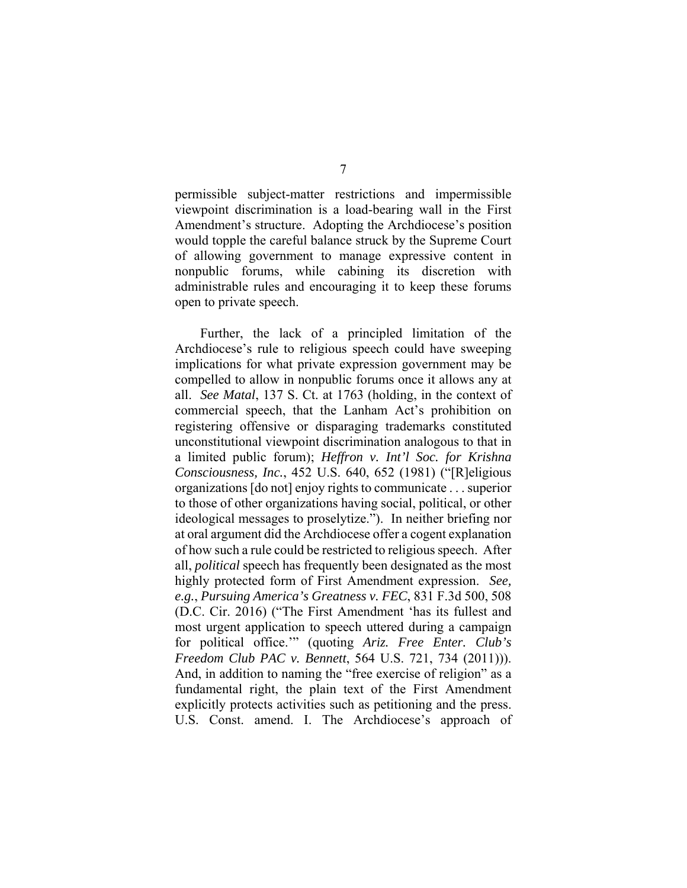permissible subject-matter restrictions and impermissible viewpoint discrimination is a load-bearing wall in the First Amendment's structure. Adopting the Archdiocese's position would topple the careful balance struck by the Supreme Court of allowing government to manage expressive content in nonpublic forums, while cabining its discretion with administrable rules and encouraging it to keep these forums open to private speech.

Further, the lack of a principled limitation of the Archdiocese's rule to religious speech could have sweeping implications for what private expression government may be compelled to allow in nonpublic forums once it allows any at all. *See Matal*, 137 S. Ct. at 1763 (holding, in the context of commercial speech, that the Lanham Act's prohibition on registering offensive or disparaging trademarks constituted unconstitutional viewpoint discrimination analogous to that in a limited public forum); *Heffron v. Int'l Soc. for Krishna Consciousness, Inc.*, 452 U.S. 640, 652 (1981) ("[R]eligious organizations [do not] enjoy rights to communicate . . . superior to those of other organizations having social, political, or other ideological messages to proselytize."). In neither briefing nor at oral argument did the Archdiocese offer a cogent explanation of how such a rule could be restricted to religious speech. After all, *political* speech has frequently been designated as the most highly protected form of First Amendment expression. *See, e.g.*, *Pursuing America's Greatness v. FEC*, 831 F.3d 500, 508 (D.C. Cir. 2016) ("The First Amendment 'has its fullest and most urgent application to speech uttered during a campaign for political office.'" (quoting *Ariz. Free Enter. Club's Freedom Club PAC v. Bennett*, 564 U.S. 721, 734 (2011))). And, in addition to naming the "free exercise of religion" as a fundamental right, the plain text of the First Amendment explicitly protects activities such as petitioning and the press. U.S. Const. amend. I. The Archdiocese's approach of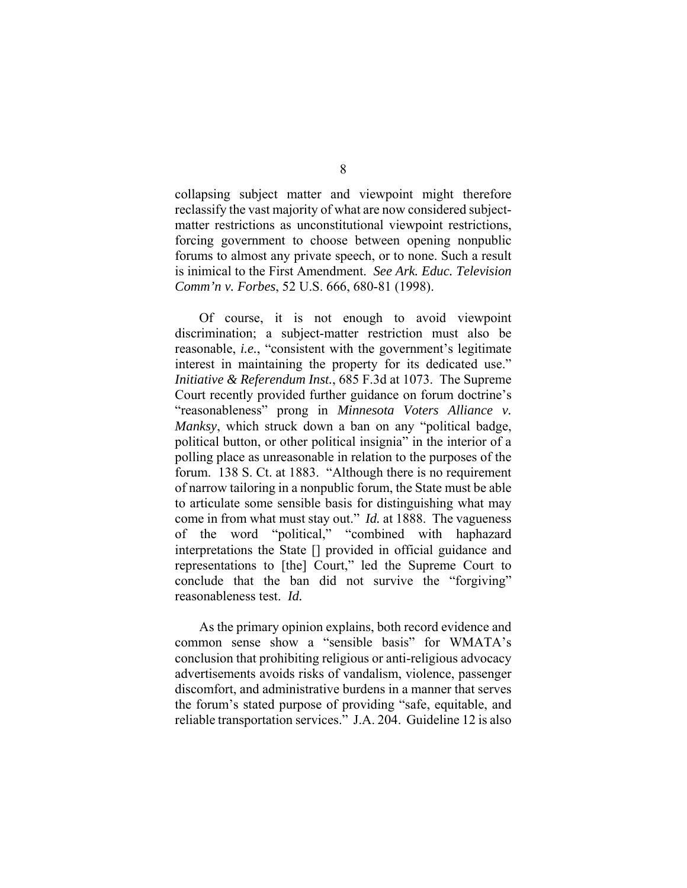collapsing subject matter and viewpoint might therefore reclassify the vast majority of what are now considered subjectmatter restrictions as unconstitutional viewpoint restrictions, forcing government to choose between opening nonpublic forums to almost any private speech, or to none. Such a result is inimical to the First Amendment. *See Ark. Educ. Television Comm'n v. Forbes*, 52 U.S. 666, 680-81 (1998).

 Of course, it is not enough to avoid viewpoint discrimination; a subject-matter restriction must also be reasonable, *i.e.*, "consistent with the government's legitimate interest in maintaining the property for its dedicated use." *Initiative & Referendum Inst.*, 685 F.3d at 1073. The Supreme Court recently provided further guidance on forum doctrine's "reasonableness" prong in *Minnesota Voters Alliance v. Manksy*, which struck down a ban on any "political badge, political button, or other political insignia" in the interior of a polling place as unreasonable in relation to the purposes of the forum. 138 S. Ct. at 1883. "Although there is no requirement of narrow tailoring in a nonpublic forum, the State must be able to articulate some sensible basis for distinguishing what may come in from what must stay out." *Id.* at 1888. The vagueness of the word "political," "combined with haphazard interpretations the State [] provided in official guidance and representations to [the] Court," led the Supreme Court to conclude that the ban did not survive the "forgiving" reasonableness test. *Id.*

As the primary opinion explains, both record evidence and common sense show a "sensible basis" for WMATA's conclusion that prohibiting religious or anti-religious advocacy advertisements avoids risks of vandalism, violence, passenger discomfort, and administrative burdens in a manner that serves the forum's stated purpose of providing "safe, equitable, and reliable transportation services." J.A. 204. Guideline 12 is also